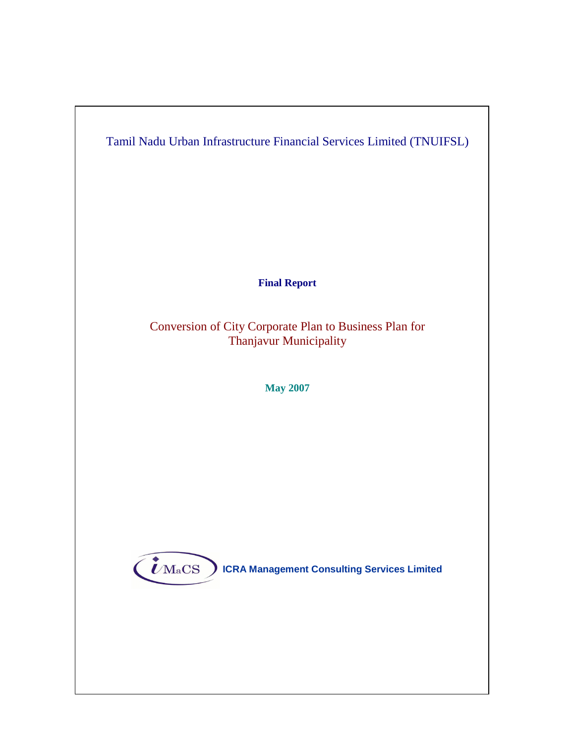

**Final Report** 

Conversion of City Corporate Plan to Business Plan for Thanjavur Municipality

**May 2007**



 $\left(\boldsymbol{\dot{\ell}}_\mathrm{MaCS}\right)$  ICRA Management Consulting Services Limited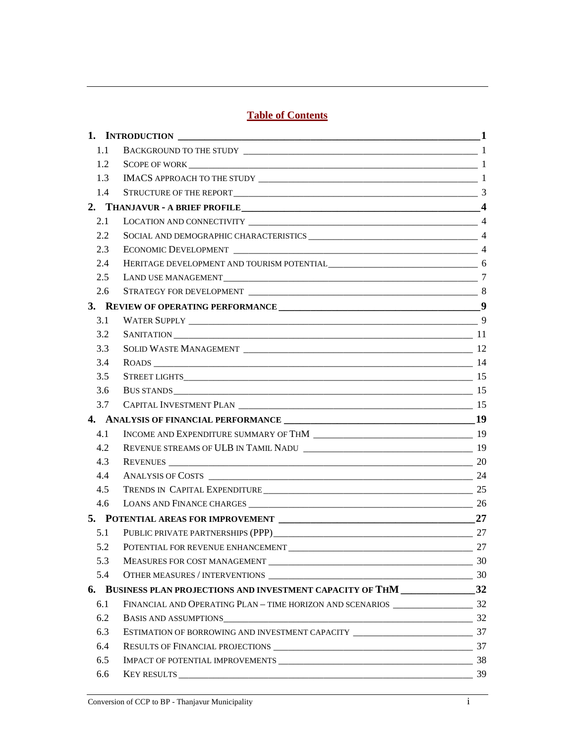# **Table of Contents**

| 1.1 |                                                                                 |    |
|-----|---------------------------------------------------------------------------------|----|
| 1.2 | SCOPE OF WORK 1                                                                 |    |
| 1.3 |                                                                                 |    |
| 1.4 |                                                                                 |    |
|     |                                                                                 |    |
| 2.1 |                                                                                 |    |
| 2.2 |                                                                                 |    |
| 2.3 |                                                                                 |    |
| 2.4 |                                                                                 |    |
| 2.5 |                                                                                 |    |
| 2.6 |                                                                                 |    |
|     |                                                                                 |    |
| 3.1 |                                                                                 |    |
| 3.2 |                                                                                 |    |
| 3.3 |                                                                                 |    |
| 3.4 |                                                                                 |    |
| 3.5 |                                                                                 |    |
| 3.6 |                                                                                 |    |
| 3.7 |                                                                                 |    |
|     |                                                                                 |    |
| 4.1 |                                                                                 |    |
| 4.2 |                                                                                 |    |
| 4.3 |                                                                                 |    |
| 4.4 |                                                                                 |    |
| 4.5 |                                                                                 |    |
| 4.6 |                                                                                 |    |
|     |                                                                                 |    |
| 5.1 |                                                                                 |    |
|     | 5.2 POTENTIAL FOR REVENUE ENHANCEMENT                                           | 27 |
| 5.3 |                                                                                 |    |
| 5.4 |                                                                                 |    |
|     | 6. BUSINESS PLAN PROJECTIONS AND INVESTMENT CAPACITY OF THM _________________32 |    |
| 6.1 |                                                                                 |    |
| 6.2 |                                                                                 |    |
| 6.3 |                                                                                 |    |
| 6.4 |                                                                                 |    |
| 6.5 |                                                                                 |    |
| 6.6 |                                                                                 | 39 |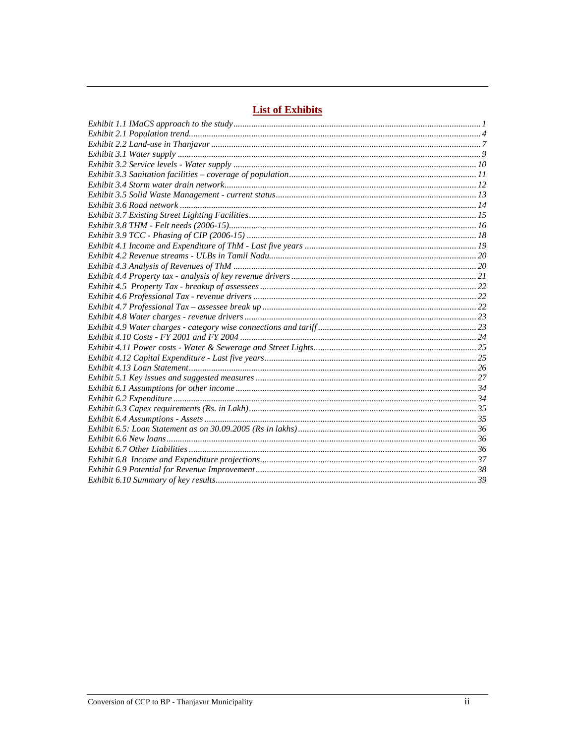# **List of Exhibits**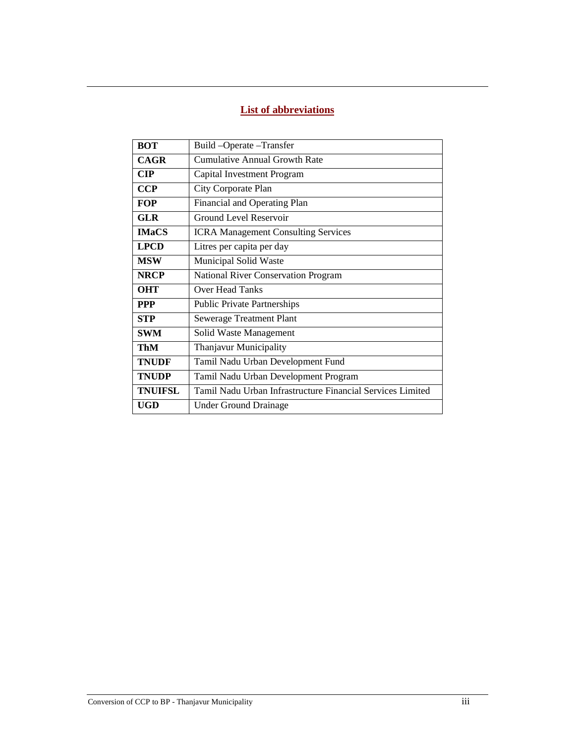# **List of abbreviations**

| <b>BOT</b>                                                | Build-Operate-Transfer                                     |  |  |
|-----------------------------------------------------------|------------------------------------------------------------|--|--|
| <b>CAGR</b>                                               | Cumulative Annual Growth Rate                              |  |  |
| $\mathbf{CIP}$                                            | Capital Investment Program                                 |  |  |
| <b>CCP</b>                                                | City Corporate Plan                                        |  |  |
| <b>FOP</b>                                                | Financial and Operating Plan                               |  |  |
| <b>GLR</b>                                                | <b>Ground Level Reservoir</b>                              |  |  |
| <b>IMaCS</b>                                              | <b>ICRA Management Consulting Services</b>                 |  |  |
| <b>LPCD</b>                                               | Litres per capita per day                                  |  |  |
| <b>MSW</b>                                                | Municipal Solid Waste                                      |  |  |
| <b>NRCP</b><br><b>National River Conservation Program</b> |                                                            |  |  |
| <b>OHT</b>                                                | <b>Over Head Tanks</b>                                     |  |  |
| <b>PPP</b>                                                | <b>Public Private Partnerships</b>                         |  |  |
| <b>STP</b>                                                | <b>Sewerage Treatment Plant</b>                            |  |  |
| <b>SWM</b>                                                | Solid Waste Management                                     |  |  |
| ThM                                                       | Thanjavur Municipality                                     |  |  |
| <b>TNUDF</b><br>Tamil Nadu Urban Development Fund         |                                                            |  |  |
| <b>TNUDP</b>                                              | Tamil Nadu Urban Development Program                       |  |  |
| <b>TNUIFSL</b>                                            | Tamil Nadu Urban Infrastructure Financial Services Limited |  |  |
| <b>UGD</b>                                                | Under Ground Drainage                                      |  |  |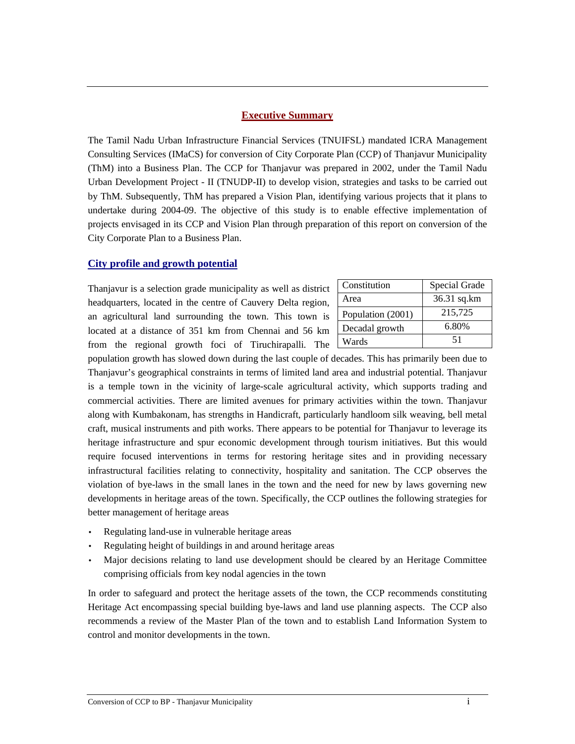## **Executive Summary**

The Tamil Nadu Urban Infrastructure Financial Services (TNUIFSL) mandated ICRA Management Consulting Services (IMaCS) for conversion of City Corporate Plan (CCP) of Thanjavur Municipality (ThM) into a Business Plan. The CCP for Thanjavur was prepared in 2002, under the Tamil Nadu Urban Development Project - II (TNUDP-II) to develop vision, strategies and tasks to be carried out by ThM. Subsequently, ThM has prepared a Vision Plan, identifying various projects that it plans to undertake during 2004-09. The objective of this study is to enable effective implementation of projects envisaged in its CCP and Vision Plan through preparation of this report on conversion of the City Corporate Plan to a Business Plan.

## **City profile and growth potential**

Thanjavur is a selection grade municipality as well as district headquarters, located in the centre of Cauvery Delta region, an agricultural land surrounding the town. This town is located at a distance of 351 km from Chennai and 56 km from the regional growth foci of Tiruchirapalli. The

| Constitution      | Special Grade |
|-------------------|---------------|
| Area              | 36.31 sq.km   |
| Population (2001) | 215,725       |
| Decadal growth    | 6.80%         |
| Wards             | 51            |

population growth has slowed down during the last couple of decades. This has primarily been due to Thanjavur's geographical constraints in terms of limited land area and industrial potential. Thanjavur is a temple town in the vicinity of large-scale agricultural activity, which supports trading and commercial activities. There are limited avenues for primary activities within the town. Thanjavur along with Kumbakonam, has strengths in Handicraft, particularly handloom silk weaving, bell metal craft, musical instruments and pith works. There appears to be potential for Thanjavur to leverage its heritage infrastructure and spur economic development through tourism initiatives. But this would require focused interventions in terms for restoring heritage sites and in providing necessary infrastructural facilities relating to connectivity, hospitality and sanitation. The CCP observes the violation of bye-laws in the small lanes in the town and the need for new by laws governing new developments in heritage areas of the town. Specifically, the CCP outlines the following strategies for better management of heritage areas

- Regulating land-use in vulnerable heritage areas
- Regulating height of buildings in and around heritage areas
- Major decisions relating to land use development should be cleared by an Heritage Committee comprising officials from key nodal agencies in the town

In order to safeguard and protect the heritage assets of the town, the CCP recommends constituting Heritage Act encompassing special building bye-laws and land use planning aspects. The CCP also recommends a review of the Master Plan of the town and to establish Land Information System to control and monitor developments in the town.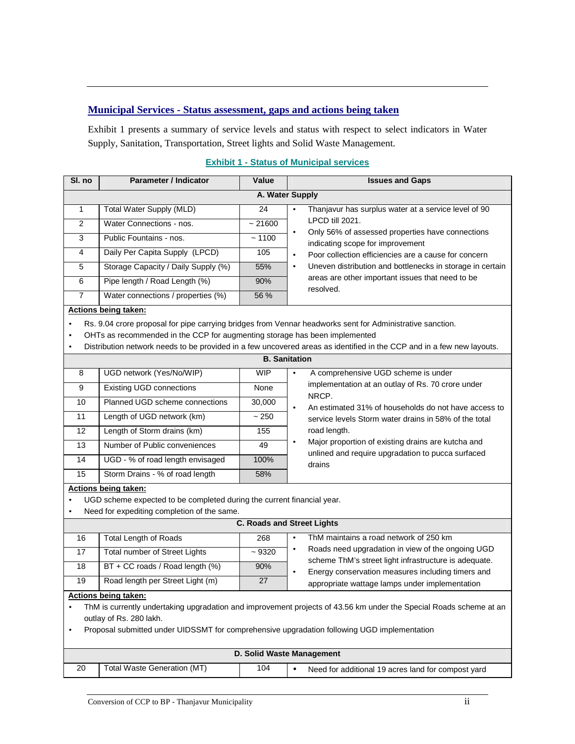## **Municipal Services - Status assessment, gaps and actions being taken**

Exhibit 1 presents a summary of service levels and status with respect to select indicators in Water Supply, Sanitation, Transportation, Street lights and Solid Waste Management.

| SI. no               | <b>Parameter / Indicator</b>        | Value  | <b>Issues and Gaps</b>                                                                            |  |  |  |  |
|----------------------|-------------------------------------|--------|---------------------------------------------------------------------------------------------------|--|--|--|--|
|                      | A. Water Supply                     |        |                                                                                                   |  |  |  |  |
|                      | Total Water Supply (MLD)            | 24     | Thanjavur has surplus water at a service level of 90<br>$\bullet$                                 |  |  |  |  |
| $\mathcal{P}$        | Water Connections - nos.            | ~21600 | LPCD till 2021.                                                                                   |  |  |  |  |
| 3                    | Public Fountains - nos.             | ~1100  | Only 56% of assessed properties have connections<br>$\bullet$<br>indicating scope for improvement |  |  |  |  |
| 4                    | Daily Per Capita Supply (LPCD)      | 105    | Poor collection efficiencies are a cause for concern<br>$\bullet$                                 |  |  |  |  |
| 5                    | Storage Capacity / Daily Supply (%) | 55%    | Uneven distribution and bottlenecks in storage in certain<br>٠                                    |  |  |  |  |
| 6                    | Pipe length / Road Length (%)       | 90%    | areas are other important issues that need to be<br>resolved.                                     |  |  |  |  |
|                      | Water connections / properties (%)  | 56 %   |                                                                                                   |  |  |  |  |
| Actions being taken: |                                     |        |                                                                                                   |  |  |  |  |

### **Exhibit 1 - Status of Municipal services**

#### **Actions being taken:**

• Rs. 9.04 crore proposal for pipe carrying bridges from Vennar headworks sent for Administrative sanction.

• OHTs as recommended in the CCP for augmenting storage has been implemented

• Distribution network needs to be provided in a few uncovered areas as identified in the CCP and in a few new layouts.

|                      | <b>B.</b> Sanitation                                                   |           |                                                                                                                         |  |  |  |
|----------------------|------------------------------------------------------------------------|-----------|-------------------------------------------------------------------------------------------------------------------------|--|--|--|
| 8                    | UGD network (Yes/No/WIP)                                               | WIP       | A comprehensive UGD scheme is under<br>$\bullet$                                                                        |  |  |  |
| 9                    | <b>Existing UGD connections</b>                                        | None      | implementation at an outlay of Rs. 70 crore under<br>NRCP.                                                              |  |  |  |
| 10 <sup>10</sup>     | Planned UGD scheme connections                                         | 30,000    | An estimated 31% of households do not have access to<br>$\bullet$                                                       |  |  |  |
| 11                   | Length of UGD network (km)                                             | ~250      | service levels Storm water drains in 58% of the total                                                                   |  |  |  |
| $12 \overline{ }$    | Length of Storm drains (km)                                            | 155       | road length.                                                                                                            |  |  |  |
| 13                   | Number of Public conveniences                                          | 49        | Major proportion of existing drains are kutcha and<br>$\bullet$<br>unlined and require upgradation to pucca surfaced    |  |  |  |
| 14                   | UGD - % of road length envisaged                                       | 100%      | drains                                                                                                                  |  |  |  |
| 15                   | Storm Drains - % of road length                                        | 58%       |                                                                                                                         |  |  |  |
| Actions being taken: |                                                                        |           |                                                                                                                         |  |  |  |
|                      | UGD scheme expected to be completed during the current financial year. |           |                                                                                                                         |  |  |  |
| ٠                    | Need for expediting completion of the same.                            |           |                                                                                                                         |  |  |  |
|                      |                                                                        |           | <b>C. Roads and Street Lights</b>                                                                                       |  |  |  |
| 16                   | <b>Total Length of Roads</b>                                           | 268       | ThM maintains a road network of 250 km<br>$\bullet$                                                                     |  |  |  |
| 17                   | Total number of Street Lights                                          | $~1$ 9320 | Roads need upgradation in view of the ongoing UGD<br>$\bullet$                                                          |  |  |  |
| 18                   | BT + CC roads / Road length (%)                                        | 90%       | scheme ThM's street light infrastructure is adequate.<br>Energy conservation measures including timers and<br>$\bullet$ |  |  |  |
| 19                   | Road length per Street Light (m)                                       | 27        | appropriate wattage lamps under implementation                                                                          |  |  |  |
| Actions being taken: |                                                                        |           |                                                                                                                         |  |  |  |

• ThM is currently undertaking upgradation and improvement projects of 43.56 km under the Special Roads scheme at an outlay of Rs. 280 lakh.

• Proposal submitted under UIDSSMT for comprehensive upgradation following UGD implementation

|    | D. Solid Waste Management   |     |                                                    |  |  |  |
|----|-----------------------------|-----|----------------------------------------------------|--|--|--|
| 20 | Total Waste Generation (MT) | 104 | Need for additional 19 acres land for compost yard |  |  |  |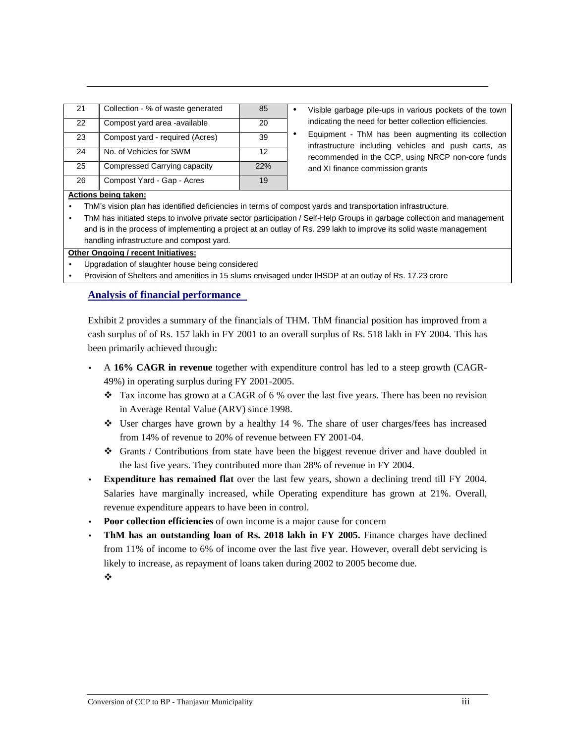| 21 | Collection - % of waste generated | 85  |
|----|-----------------------------------|-----|
| 22 | Compost yard area -available      | 20  |
| 23 | Compost yard - required (Acres)   | 39  |
| 24 | No. of Vehicles for SWM           | 12  |
| 25 | Compressed Carrying capacity      | 22% |
| 26 | Compost Yard - Gap - Acres        | 19  |

Visible garbage pile-ups in various pockets of the town indicating the need for better collection efficiencies.

• Equipment - ThM has been augmenting its collection infrastructure including vehicles and push carts, as recommended in the CCP, using NRCP non-core funds and XI finance commission grants

#### **Actions being taken:**

- ThM's vision plan has identified deficiencies in terms of compost yards and transportation infrastructure.
- ThM has initiated steps to involve private sector participation / Self-Help Groups in garbage collection and management and is in the process of implementing a project at an outlay of Rs. 299 lakh to improve its solid waste management handling infrastructure and compost yard.

#### **Other Ongoing / recent Initiatives:**

- Upgradation of slaughter house being considered
- Provision of Shelters and amenities in 15 slums envisaged under IHSDP at an outlay of Rs. 17.23 crore

#### **Analysis of financial performance**

Exhibit 2 provides a summary of the financials of THM. ThM financial position has improved from a cash surplus of of Rs. 157 lakh in FY 2001 to an overall surplus of Rs. 518 lakh in FY 2004. This has been primarily achieved through:

- A **16% CAGR in revenue** together with expenditure control has led to a steep growth (CAGR-49%) in operating surplus during FY 2001-2005.
	- Tax income has grown at a CAGR of 6 % over the last five years. There has been no revision in Average Rental Value (ARV) since 1998.
	- User charges have grown by a healthy 14 %. The share of user charges/fees has increased from 14% of revenue to 20% of revenue between FY 2001-04.
	- Grants / Contributions from state have been the biggest revenue driver and have doubled in the last five years. They contributed more than 28% of revenue in FY 2004.
- **Expenditure has remained flat** over the last few years, shown a declining trend till FY 2004. Salaries have marginally increased, while Operating expenditure has grown at 21%. Overall, revenue expenditure appears to have been in control.
- **Poor collection efficiencies** of own income is a major cause for concern
- **ThM has an outstanding loan of Rs. 2018 lakh in FY 2005.** Finance charges have declined from 11% of income to 6% of income over the last five year. However, overall debt servicing is likely to increase, as repayment of loans taken during 2002 to 2005 become due.

÷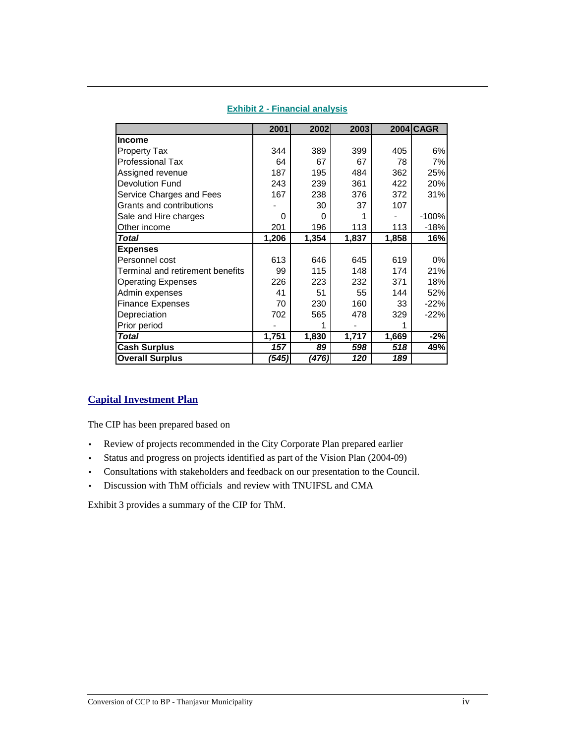|                                  | 2001  | 2002  | 2003  |       | $2004$ CAGR |
|----------------------------------|-------|-------|-------|-------|-------------|
| <b>Income</b>                    |       |       |       |       |             |
| <b>Property Tax</b>              | 344   | 389   | 399   | 405   | 6%          |
| <b>Professional Tax</b>          | 64    | 67    | 67    | 78    | 7%          |
| Assigned revenue                 | 187   | 195   | 484   | 362   | 25%         |
| Devolution Fund                  | 243   | 239   | 361   | 422   | 20%         |
| Service Charges and Fees         | 167   | 238   | 376   | 372   | 31%         |
| Grants and contributions         |       | 30    | 37    | 107   |             |
| Sale and Hire charges            | 0     | 0     |       |       | $-100%$     |
| Other income                     | 201   | 196   | 113   | 113   | $-18%$      |
| Total                            | 1,206 | 1,354 | 1,837 | 1,858 | 16%         |
| <b>Expenses</b>                  |       |       |       |       |             |
| Personnel cost                   | 613   | 646   | 645   | 619   | 0%          |
| Terminal and retirement benefits | 99    | 115   | 148   | 174   | 21%         |
| <b>Operating Expenses</b>        | 226   | 223   | 232   | 371   | 18%         |
| Admin expenses                   | 41    | 51    | 55    | 144   | 52%         |
| <b>Finance Expenses</b>          | 70    | 230   | 160   | 33    | $-22%$      |
| Depreciation                     | 702   | 565   | 478   | 329   | $-22%$      |
| Prior period                     |       | 1     |       | 1     |             |
| <b>Total</b>                     | 1,751 | 1,830 | 1,717 | 1,669 | $-2%$       |
| <b>Cash Surplus</b>              | 157   | 89    | 598   | 518   | 49%         |
| <b>Overall Surplus</b>           | ′545) | (476) | 120   | 189   |             |

## **Exhibit 2 - Financial analysis**

## **Capital Investment Plan**

The CIP has been prepared based on

- Review of projects recommended in the City Corporate Plan prepared earlier
- Status and progress on projects identified as part of the Vision Plan (2004-09)
- Consultations with stakeholders and feedback on our presentation to the Council.
- Discussion with ThM officials and review with TNUIFSL and CMA

Exhibit 3 provides a summary of the CIP for ThM.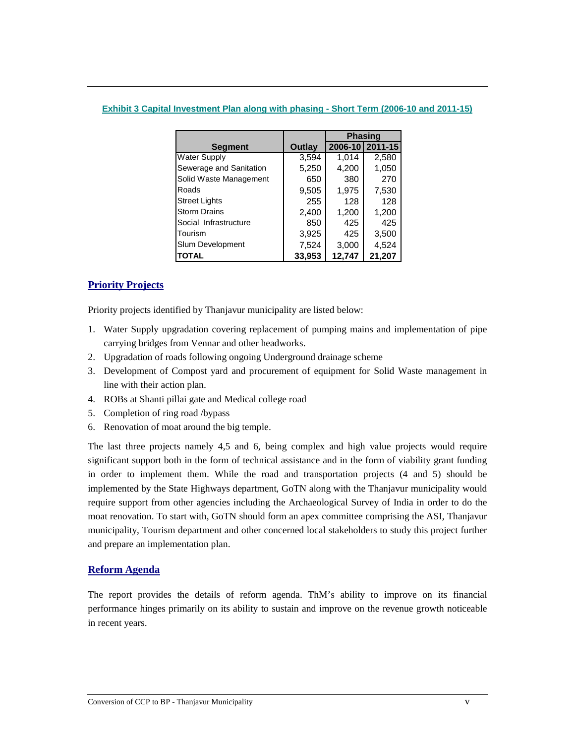## **Exhibit 3 Capital Investment Plan along with phasing - Short Term (2006-10 and 2011-15)**

|                         |        | <b>Phasing</b> |                 |
|-------------------------|--------|----------------|-----------------|
| <b>Segment</b>          | Outlay |                | 2006-10 2011-15 |
| <b>Water Supply</b>     | 3,594  | 1,014          | 2,580           |
| Sewerage and Sanitation | 5,250  | 4,200          | 1,050           |
| Solid Waste Management  | 650    | 380            | 270             |
| Roads                   | 9,505  | 1,975          | 7,530           |
| <b>Street Lights</b>    | 255    | 128            | 128             |
| <b>Storm Drains</b>     | 2,400  | 1,200          | 1,200           |
| Social Infrastructure   | 850    | 425            | 425             |
| Tourism                 | 3,925  | 425            | 3,500           |
| Slum Development        | 7,524  | 3,000          | 4,524           |
| ΙΤΟΤΑL                  | 33,953 | 12,747         | 21,207          |

## **Priority Projects**

Priority projects identified by Thanjavur municipality are listed below:

- 1. Water Supply upgradation covering replacement of pumping mains and implementation of pipe carrying bridges from Vennar and other headworks.
- 2. Upgradation of roads following ongoing Underground drainage scheme
- 3. Development of Compost yard and procurement of equipment for Solid Waste management in line with their action plan.
- 4. ROBs at Shanti pillai gate and Medical college road
- 5. Completion of ring road /bypass
- 6. Renovation of moat around the big temple.

The last three projects namely 4,5 and 6, being complex and high value projects would require significant support both in the form of technical assistance and in the form of viability grant funding in order to implement them. While the road and transportation projects (4 and 5) should be implemented by the State Highways department, GoTN along with the Thanjavur municipality would require support from other agencies including the Archaeological Survey of India in order to do the moat renovation. To start with, GoTN should form an apex committee comprising the ASI, Thanjavur municipality, Tourism department and other concerned local stakeholders to study this project further and prepare an implementation plan.

# **Reform Agenda**

The report provides the details of reform agenda. ThM's ability to improve on its financial performance hinges primarily on its ability to sustain and improve on the revenue growth noticeable in recent years.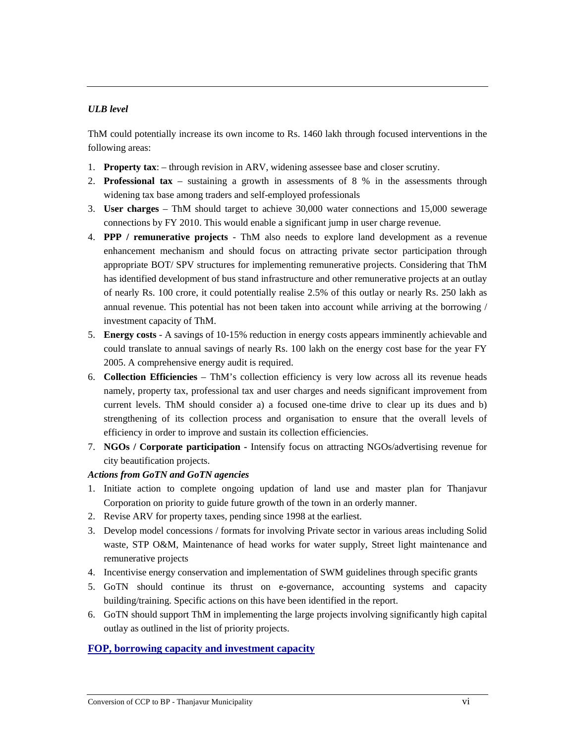# *ULB level*

ThM could potentially increase its own income to Rs. 1460 lakh through focused interventions in the following areas:

- 1. **Property tax**: through revision in ARV, widening assessee base and closer scrutiny.
- 2. **Professional tax**  sustaining a growth in assessments of 8 % in the assessments through widening tax base among traders and self-employed professionals
- 3. **User charges**  ThM should target to achieve 30,000 water connections and 15,000 sewerage connections by FY 2010. This would enable a significant jump in user charge revenue.
- 4. **PPP / remunerative projects**  ThM also needs to explore land development as a revenue enhancement mechanism and should focus on attracting private sector participation through appropriate BOT/ SPV structures for implementing remunerative projects. Considering that ThM has identified development of bus stand infrastructure and other remunerative projects at an outlay of nearly Rs. 100 crore, it could potentially realise 2.5% of this outlay or nearly Rs. 250 lakh as annual revenue. This potential has not been taken into account while arriving at the borrowing / investment capacity of ThM.
- 5. **Energy costs**  A savings of 10-15% reduction in energy costs appears imminently achievable and could translate to annual savings of nearly Rs. 100 lakh on the energy cost base for the year FY 2005. A comprehensive energy audit is required.
- 6. **Collection Efficiencies**  ThM's collection efficiency is very low across all its revenue heads namely, property tax, professional tax and user charges and needs significant improvement from current levels. ThM should consider a) a focused one-time drive to clear up its dues and b) strengthening of its collection process and organisation to ensure that the overall levels of efficiency in order to improve and sustain its collection efficiencies.
- 7. **NGOs / Corporate participation** Intensify focus on attracting NGOs/advertising revenue for city beautification projects.

## *Actions from GoTN and GoTN agencies*

- 1. Initiate action to complete ongoing updation of land use and master plan for Thanjavur Corporation on priority to guide future growth of the town in an orderly manner.
- 2. Revise ARV for property taxes, pending since 1998 at the earliest.
- 3. Develop model concessions / formats for involving Private sector in various areas including Solid waste, STP O&M, Maintenance of head works for water supply, Street light maintenance and remunerative projects
- 4. Incentivise energy conservation and implementation of SWM guidelines through specific grants
- 5. GoTN should continue its thrust on e-governance, accounting systems and capacity building/training. Specific actions on this have been identified in the report.
- 6. GoTN should support ThM in implementing the large projects involving significantly high capital outlay as outlined in the list of priority projects.

## **FOP, borrowing capacity and investment capacity**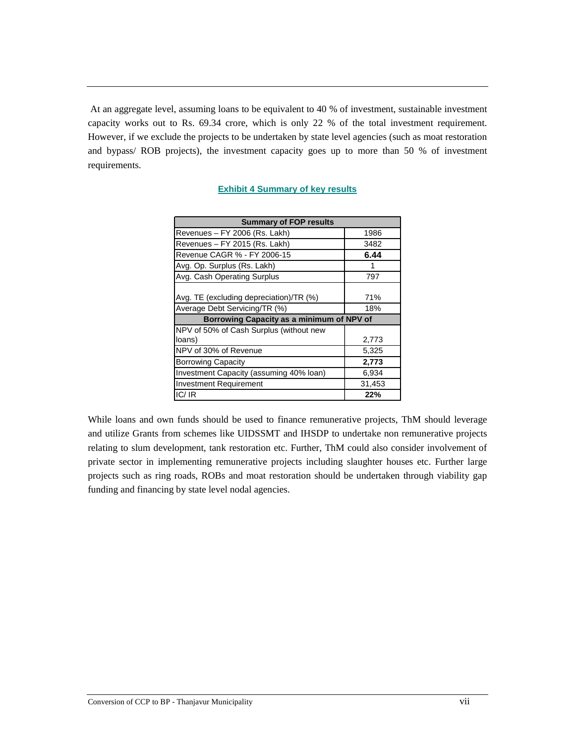At an aggregate level, assuming loans to be equivalent to 40 % of investment, sustainable investment capacity works out to Rs. 69.34 crore, which is only 22 % of the total investment requirement. However, if we exclude the projects to be undertaken by state level agencies (such as moat restoration and bypass/ ROB projects), the investment capacity goes up to more than 50 % of investment requirements.

| <b>Summary of FOP results</b>                  |        |  |  |  |
|------------------------------------------------|--------|--|--|--|
| Revenues - FY 2006 (Rs. Lakh)                  | 1986   |  |  |  |
| Revenues - FY 2015 (Rs. Lakh)                  | 3482   |  |  |  |
| Revenue CAGR % - FY 2006-15                    | 6.44   |  |  |  |
| Avg. Op. Surplus (Rs. Lakh)                    | 1      |  |  |  |
| Avg. Cash Operating Surplus                    | 797    |  |  |  |
| Avg. TE (excluding depreciation)/TR (%)<br>71% |        |  |  |  |
| Average Debt Servicing/TR (%)                  | 18%    |  |  |  |
| Borrowing Capacity as a minimum of NPV of      |        |  |  |  |
| NPV of 50% of Cash Surplus (without new        |        |  |  |  |
| loans)                                         | 2,773  |  |  |  |
| NPV of 30% of Revenue                          | 5,325  |  |  |  |
| <b>Borrowing Capacity</b>                      | 2,773  |  |  |  |
| Investment Capacity (assuming 40% loan)        | 6,934  |  |  |  |
| <b>Investment Requirement</b>                  | 31,453 |  |  |  |
| IC/IR                                          | 22%    |  |  |  |

## **Exhibit 4 Summary of key results**

While loans and own funds should be used to finance remunerative projects, ThM should leverage and utilize Grants from schemes like UIDSSMT and IHSDP to undertake non remunerative projects relating to slum development, tank restoration etc. Further, ThM could also consider involvement of private sector in implementing remunerative projects including slaughter houses etc. Further large projects such as ring roads, ROBs and moat restoration should be undertaken through viability gap funding and financing by state level nodal agencies.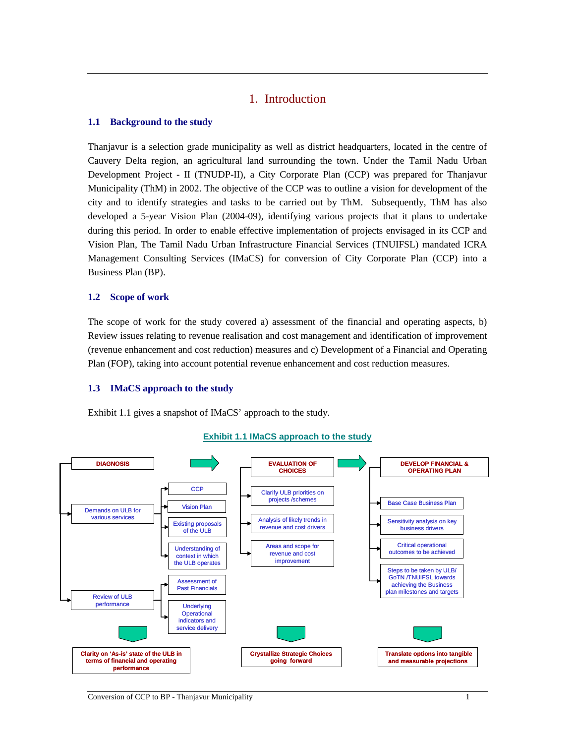# 1. Introduction

#### **1.1 Background to the study**

Thanjavur is a selection grade municipality as well as district headquarters, located in the centre of Cauvery Delta region, an agricultural land surrounding the town. Under the Tamil Nadu Urban Development Project - II (TNUDP-II), a City Corporate Plan (CCP) was prepared for Thanjavur Municipality (ThM) in 2002. The objective of the CCP was to outline a vision for development of the city and to identify strategies and tasks to be carried out by ThM. Subsequently, ThM has also developed a 5-year Vision Plan (2004-09), identifying various projects that it plans to undertake during this period. In order to enable effective implementation of projects envisaged in its CCP and Vision Plan, The Tamil Nadu Urban Infrastructure Financial Services (TNUIFSL) mandated ICRA Management Consulting Services (IMaCS) for conversion of City Corporate Plan (CCP) into a Business Plan (BP).

### **1.2 Scope of work**

The scope of work for the study covered a) assessment of the financial and operating aspects, b) Review issues relating to revenue realisation and cost management and identification of improvement (revenue enhancement and cost reduction) measures and c) Development of a Financial and Operating Plan (FOP), taking into account potential revenue enhancement and cost reduction measures.

#### **1.3 IMaCS approach to the study**

Exhibit 1.1 gives a snapshot of IMaCS' approach to the study.



#### **Exhibit 1.1 IMaCS approach to the study**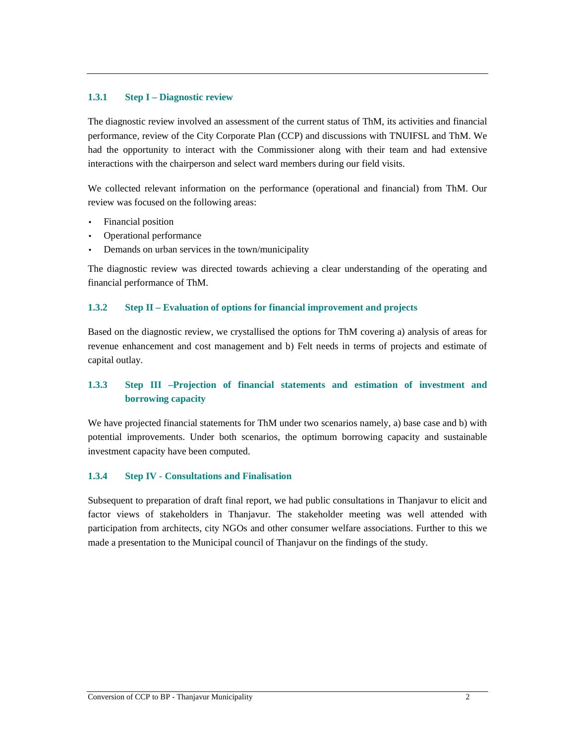#### **1.3.1 Step I – Diagnostic review**

The diagnostic review involved an assessment of the current status of ThM, its activities and financial performance, review of the City Corporate Plan (CCP) and discussions with TNUIFSL and ThM. We had the opportunity to interact with the Commissioner along with their team and had extensive interactions with the chairperson and select ward members during our field visits.

We collected relevant information on the performance (operational and financial) from ThM. Our review was focused on the following areas:

- Financial position
- Operational performance
- Demands on urban services in the town/municipality

The diagnostic review was directed towards achieving a clear understanding of the operating and financial performance of ThM.

### **1.3.2 Step II – Evaluation of options for financial improvement and projects**

Based on the diagnostic review, we crystallised the options for ThM covering a) analysis of areas for revenue enhancement and cost management and b) Felt needs in terms of projects and estimate of capital outlay.

# **1.3.3 Step III –Projection of financial statements and estimation of investment and borrowing capacity**

We have projected financial statements for ThM under two scenarios namely, a) base case and b) with potential improvements. Under both scenarios, the optimum borrowing capacity and sustainable investment capacity have been computed.

## **1.3.4 Step IV - Consultations and Finalisation**

Subsequent to preparation of draft final report, we had public consultations in Thanjavur to elicit and factor views of stakeholders in Thanjavur. The stakeholder meeting was well attended with participation from architects, city NGOs and other consumer welfare associations. Further to this we made a presentation to the Municipal council of Thanjavur on the findings of the study.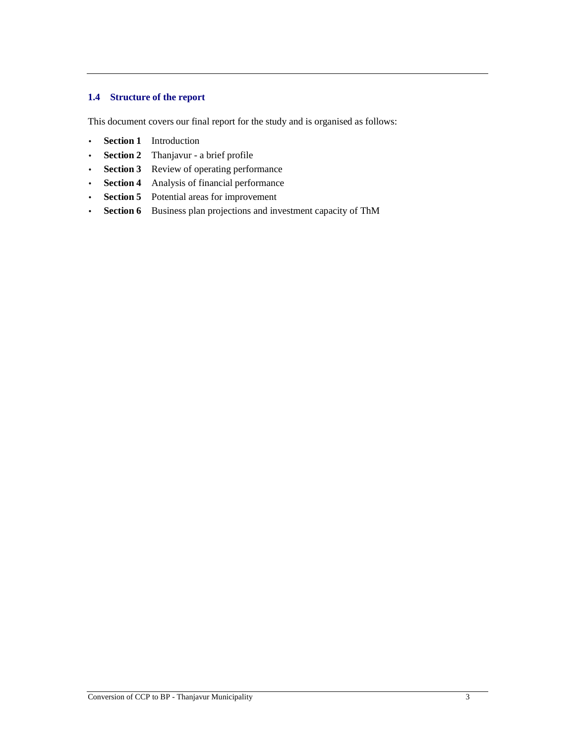## **1.4 Structure of the report**

This document covers our final report for the study and is organised as follows:

- **Section 1** Introduction
- **Section 2** Thanjavur a brief profile
- **Section 3** Review of operating performance
- **Section 4** Analysis of financial performance
- **Section 5** Potential areas for improvement
- **Section 6** Business plan projections and investment capacity of ThM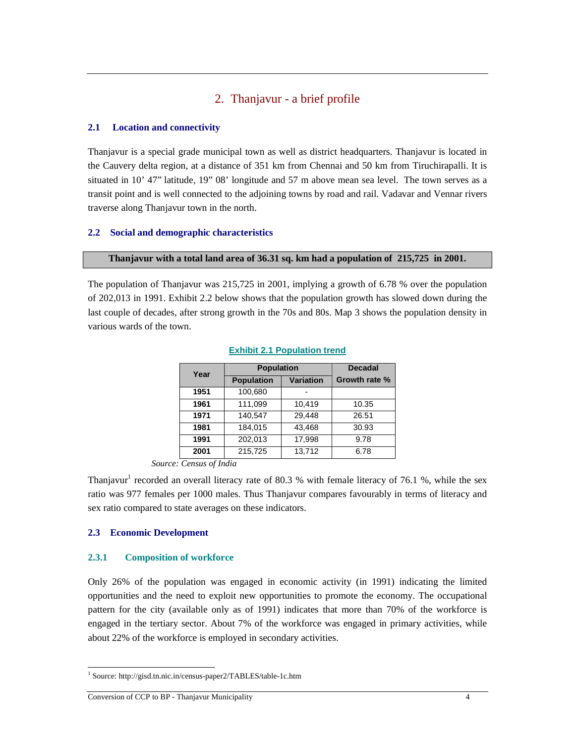# 2. Thanjavur - a brief profile

## **2.1 Location and connectivity**

Thanjavur is a special grade municipal town as well as district headquarters. Thanjavur is located in the Cauvery delta region, at a distance of 351 km from Chennai and 50 km from Tiruchirapalli. It is situated in 10' 47" latitude, 19" 08' longitude and 57 m above mean sea level. The town serves as a transit point and is well connected to the adjoining towns by road and rail. Vadavar and Vennar rivers traverse along Thanjavur town in the north.

## **2.2 Social and demographic characteristics**

#### **Thanjavur with a total land area of 36.31 sq. km had a population of 215,725 in 2001.**

The population of Thanjavur was 215,725 in 2001, implying a growth of 6.78 % over the population of 202,013 in 1991. Exhibit 2.2 below shows that the population growth has slowed down during the last couple of decades, after strong growth in the 70s and 80s. Map 3 shows the population density in various wards of the town.

| Year | <b>Population</b> |                  | <b>Decadal</b> |
|------|-------------------|------------------|----------------|
|      | <b>Population</b> | <b>Variation</b> | Growth rate %  |
| 1951 | 100,680           |                  |                |
| 1961 | 111,099           | 10.419           | 10.35          |
| 1971 | 140,547           | 29,448           | 26.51          |
| 1981 | 184.015           | 43,468           | 30.93          |
| 1991 | 202,013           | 17.998           | 9.78           |
| 2001 | 215,725           | 13,712           | 6.78           |

#### **Exhibit 2.1 Population trend**

*Source: Census of India* 

Thanjavur<sup>1</sup> recorded an overall literacy rate of 80.3 % with female literacy of 76.1 %, while the sex ratio was 977 females per 1000 males. Thus Thanjavur compares favourably in terms of literacy and sex ratio compared to state averages on these indicators.

## **2.3 Economic Development**

 $\overline{a}$ 

#### **2.3.1 Composition of workforce**

Only 26% of the population was engaged in economic activity (in 1991) indicating the limited opportunities and the need to exploit new opportunities to promote the economy. The occupational pattern for the city (available only as of 1991) indicates that more than 70% of the workforce is engaged in the tertiary sector. About 7% of the workforce was engaged in primary activities, while about 22% of the workforce is employed in secondary activities.

<sup>1</sup> Source: http://gisd.tn.nic.in/census-paper2/TABLES/table-1c.htm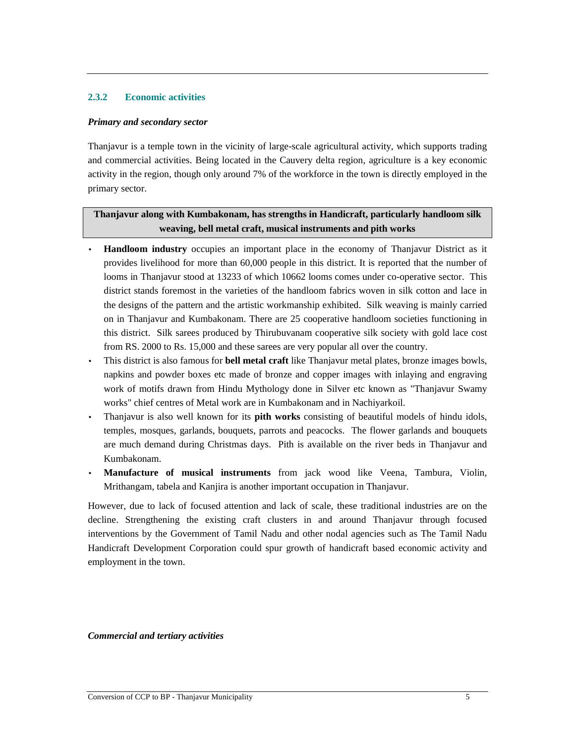## **2.3.2 Economic activities**

### *Primary and secondary sector*

Thanjavur is a temple town in the vicinity of large-scale agricultural activity, which supports trading and commercial activities. Being located in the Cauvery delta region, agriculture is a key economic activity in the region, though only around 7% of the workforce in the town is directly employed in the primary sector.

# **Thanjavur along with Kumbakonam, has strengths in Handicraft, particularly handloom silk weaving, bell metal craft, musical instruments and pith works**

- **Handloom industry** occupies an important place in the economy of Thanjavur District as it provides livelihood for more than 60,000 people in this district. It is reported that the number of looms in Thanjavur stood at 13233 of which 10662 looms comes under co-operative sector. This district stands foremost in the varieties of the handloom fabrics woven in silk cotton and lace in the designs of the pattern and the artistic workmanship exhibited. Silk weaving is mainly carried on in Thanjavur and Kumbakonam. There are 25 cooperative handloom societies functioning in this district. Silk sarees produced by Thirubuvanam cooperative silk society with gold lace cost from RS. 2000 to Rs. 15,000 and these sarees are very popular all over the country.
- This district is also famous for **bell metal craft** like Thanjavur metal plates, bronze images bowls, napkins and powder boxes etc made of bronze and copper images with inlaying and engraving work of motifs drawn from Hindu Mythology done in Silver etc known as "Thanjavur Swamy works" chief centres of Metal work are in Kumbakonam and in Nachiyarkoil.
- Thanjavur is also well known for its **pith works** consisting of beautiful models of hindu idols, temples, mosques, garlands, bouquets, parrots and peacocks. The flower garlands and bouquets are much demand during Christmas days. Pith is available on the river beds in Thanjavur and Kumbakonam.
- **Manufacture of musical instruments** from jack wood like Veena, Tambura, Violin, Mrithangam, tabela and Kanjira is another important occupation in Thanjavur.

However, due to lack of focused attention and lack of scale, these traditional industries are on the decline. Strengthening the existing craft clusters in and around Thanjavur through focused interventions by the Government of Tamil Nadu and other nodal agencies such as The Tamil Nadu Handicraft Development Corporation could spur growth of handicraft based economic activity and employment in the town.

*Commercial and tertiary activities*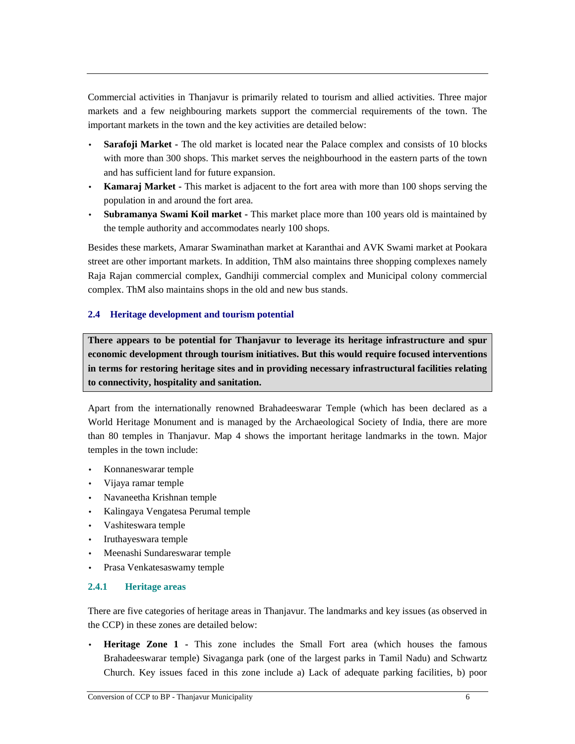Commercial activities in Thanjavur is primarily related to tourism and allied activities. Three major markets and a few neighbouring markets support the commercial requirements of the town. The important markets in the town and the key activities are detailed below:

- **Sarafoji Market** The old market is located near the Palace complex and consists of 10 blocks with more than 300 shops. This market serves the neighbourhood in the eastern parts of the town and has sufficient land for future expansion.
- **Kamaraj Market** This market is adjacent to the fort area with more than 100 shops serving the population in and around the fort area.
- **Subramanya Swami Koil market** This market place more than 100 years old is maintained by the temple authority and accommodates nearly 100 shops.

Besides these markets, Amarar Swaminathan market at Karanthai and AVK Swami market at Pookara street are other important markets. In addition, ThM also maintains three shopping complexes namely Raja Rajan commercial complex, Gandhiji commercial complex and Municipal colony commercial complex. ThM also maintains shops in the old and new bus stands.

## **2.4 Heritage development and tourism potential**

**There appears to be potential for Thanjavur to leverage its heritage infrastructure and spur economic development through tourism initiatives. But this would require focused interventions in terms for restoring heritage sites and in providing necessary infrastructural facilities relating to connectivity, hospitality and sanitation.** 

Apart from the internationally renowned Brahadeeswarar Temple (which has been declared as a World Heritage Monument and is managed by the Archaeological Society of India, there are more than 80 temples in Thanjavur. Map 4 shows the important heritage landmarks in the town. Major temples in the town include:

- Konnaneswarar temple
- Vijaya ramar temple
- Navaneetha Krishnan temple
- Kalingaya Vengatesa Perumal temple
- Vashiteswara temple
- Iruthayeswara temple
- Meenashi Sundareswarar temple
- Prasa Venkatesaswamy temple

## **2.4.1 Heritage areas**

There are five categories of heritage areas in Thanjavur. The landmarks and key issues (as observed in the CCP) in these zones are detailed below:

**Heritage Zone 1 - This zone includes the Small Fort area (which houses the famous)** Brahadeeswarar temple) Sivaganga park (one of the largest parks in Tamil Nadu) and Schwartz Church. Key issues faced in this zone include a) Lack of adequate parking facilities, b) poor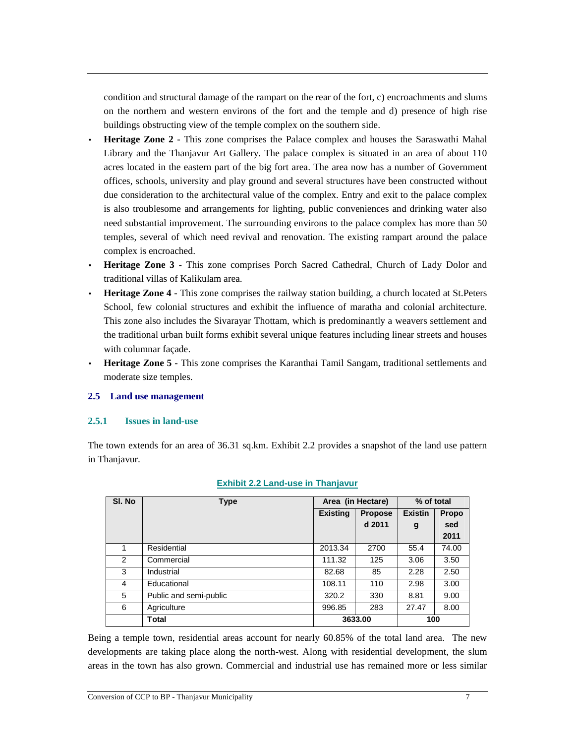condition and structural damage of the rampart on the rear of the fort, c) encroachments and slums on the northern and western environs of the fort and the temple and d) presence of high rise buildings obstructing view of the temple complex on the southern side.

- **Heritage Zone 2** This zone comprises the Palace complex and houses the Saraswathi Mahal Library and the Thanjavur Art Gallery. The palace complex is situated in an area of about 110 acres located in the eastern part of the big fort area. The area now has a number of Government offices, schools, university and play ground and several structures have been constructed without due consideration to the architectural value of the complex. Entry and exit to the palace complex is also troublesome and arrangements for lighting, public conveniences and drinking water also need substantial improvement. The surrounding environs to the palace complex has more than 50 temples, several of which need revival and renovation. The existing rampart around the palace complex is encroached.
- **Heritage Zone 3** This zone comprises Porch Sacred Cathedral, Church of Lady Dolor and traditional villas of Kalikulam area.
- **Heritage Zone 4** This zone comprises the railway station building, a church located at St.Peters School, few colonial structures and exhibit the influence of maratha and colonial architecture. This zone also includes the Sivarayar Thottam, which is predominantly a weavers settlement and the traditional urban built forms exhibit several unique features including linear streets and houses with columnar façade.
- **Heritage Zone 5** This zone comprises the Karanthai Tamil Sangam, traditional settlements and moderate size temples.

## **2.5 Land use management**

#### **2.5.1 Issues in land-use**

The town extends for an area of 36.31 sq.km. Exhibit 2.2 provides a snapshot of the land use pattern in Thanjavur.

| SI. No | <b>Type</b>            | Area (in Hectare) |                | % of total     |              |
|--------|------------------------|-------------------|----------------|----------------|--------------|
|        |                        | <b>Existing</b>   | <b>Propose</b> | <b>Existin</b> | <b>Propo</b> |
|        |                        |                   | d 2011         | g              | sed          |
|        |                        |                   |                |                | 2011         |
|        | Residential            | 2013.34           | 2700           | 55.4           | 74.00        |
| 2      | Commercial             | 111.32            | 125            | 3.06           | 3.50         |
| 3      | Industrial             | 82.68             | 85             | 2.28           | 2.50         |
| 4      | Educational            | 108.11            | 110            | 2.98           | 3.00         |
| 5      | Public and semi-public | 320.2             | 330            | 8.81           | 9.00         |
| 6      | Agriculture            | 996.85            | 283            | 27.47          | 8.00         |
|        | <b>Total</b>           |                   | 3633.00        | 100            |              |

#### **Exhibit 2.2 Land-use in Thanjavur**

Being a temple town, residential areas account for nearly 60.85% of the total land area. The new developments are taking place along the north-west. Along with residential development, the slum areas in the town has also grown. Commercial and industrial use has remained more or less similar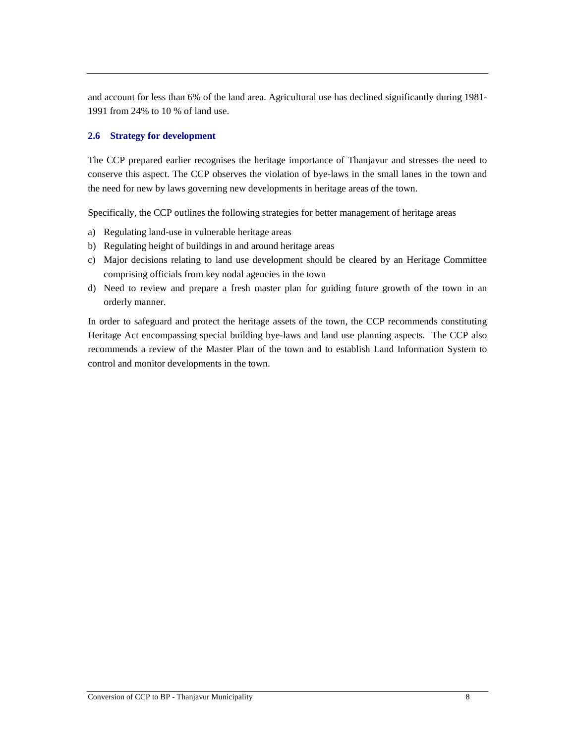and account for less than 6% of the land area. Agricultural use has declined significantly during 1981- 1991 from 24% to 10 % of land use.

### **2.6 Strategy for development**

The CCP prepared earlier recognises the heritage importance of Thanjavur and stresses the need to conserve this aspect. The CCP observes the violation of bye-laws in the small lanes in the town and the need for new by laws governing new developments in heritage areas of the town.

Specifically, the CCP outlines the following strategies for better management of heritage areas

- a) Regulating land-use in vulnerable heritage areas
- b) Regulating height of buildings in and around heritage areas
- c) Major decisions relating to land use development should be cleared by an Heritage Committee comprising officials from key nodal agencies in the town
- d) Need to review and prepare a fresh master plan for guiding future growth of the town in an orderly manner.

In order to safeguard and protect the heritage assets of the town, the CCP recommends constituting Heritage Act encompassing special building bye-laws and land use planning aspects. The CCP also recommends a review of the Master Plan of the town and to establish Land Information System to control and monitor developments in the town.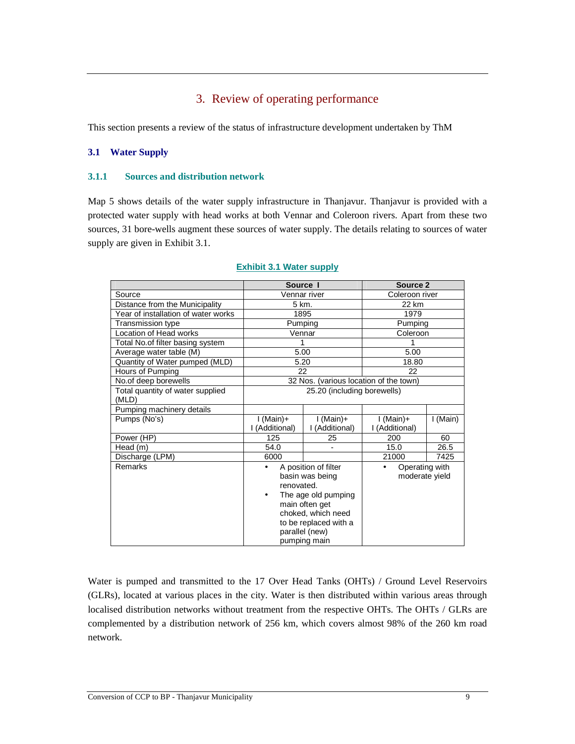# 3. Review of operating performance

This section presents a review of the status of infrastructure development undertaken by ThM

## **3.1 Water Supply**

### **3.1.1 Sources and distribution network**

Map 5 shows details of the water supply infrastructure in Thanjavur. Thanjavur is provided with a protected water supply with head works at both Vennar and Coleroon rivers. Apart from these two sources, 31 bore-wells augment these sources of water supply. The details relating to sources of water supply are given in Exhibit 3.1.

|                                           | Source I                                                                                                                                                                             |                                        | Source 2                              |         |
|-------------------------------------------|--------------------------------------------------------------------------------------------------------------------------------------------------------------------------------------|----------------------------------------|---------------------------------------|---------|
| Source                                    |                                                                                                                                                                                      | Vennar river                           | Coleroon river                        |         |
| Distance from the Municipality            | 5 km.                                                                                                                                                                                |                                        | 22 km                                 |         |
| Year of installation of water works       |                                                                                                                                                                                      | 1895                                   | 1979                                  |         |
| Transmission type                         |                                                                                                                                                                                      | Pumping                                | Pumping                               |         |
| Location of Head works                    |                                                                                                                                                                                      | Vennar                                 | Coleroon                              |         |
| Total No.of filter basing system          | 1                                                                                                                                                                                    |                                        | 1                                     |         |
| Average water table (M)                   |                                                                                                                                                                                      | 5.00                                   | 5.00                                  |         |
| Quantity of Water pumped (MLD)            |                                                                                                                                                                                      | 5.20                                   | 18.80                                 |         |
| Hours of Pumping                          |                                                                                                                                                                                      | 22                                     | 22                                    |         |
| No.of deep borewells                      |                                                                                                                                                                                      | 32 Nos. (various location of the town) |                                       |         |
| Total quantity of water supplied<br>(MLD) |                                                                                                                                                                                      | 25.20 (including borewells)            |                                       |         |
| Pumping machinery details                 |                                                                                                                                                                                      |                                        |                                       |         |
| Pumps (No's)                              | $I(Main)+$<br>I (Additional)                                                                                                                                                         | $I(Main)+$<br>I (Additional)           | $I$ (Main)+<br>I (Additional)         | I(Main) |
| Power (HP)                                | 125                                                                                                                                                                                  | 25                                     | 200                                   | 60      |
| Head (m)                                  | 54.0                                                                                                                                                                                 |                                        | 15.0                                  | 26.5    |
| Discharge (LPM)                           | 6000                                                                                                                                                                                 |                                        | 21000                                 | 7425    |
| Remarks                                   | A position of filter<br>basin was being<br>renovated.<br>The age old pumping<br>٠<br>main often get<br>choked, which need<br>to be replaced with a<br>parallel (new)<br>pumping main |                                        | Operating with<br>٠<br>moderate yield |         |

### **Exhibit 3.1 Water supply**

Water is pumped and transmitted to the 17 Over Head Tanks (OHTs) / Ground Level Reservoirs (GLRs), located at various places in the city. Water is then distributed within various areas through localised distribution networks without treatment from the respective OHTs. The OHTs / GLRs are complemented by a distribution network of 256 km, which covers almost 98% of the 260 km road network.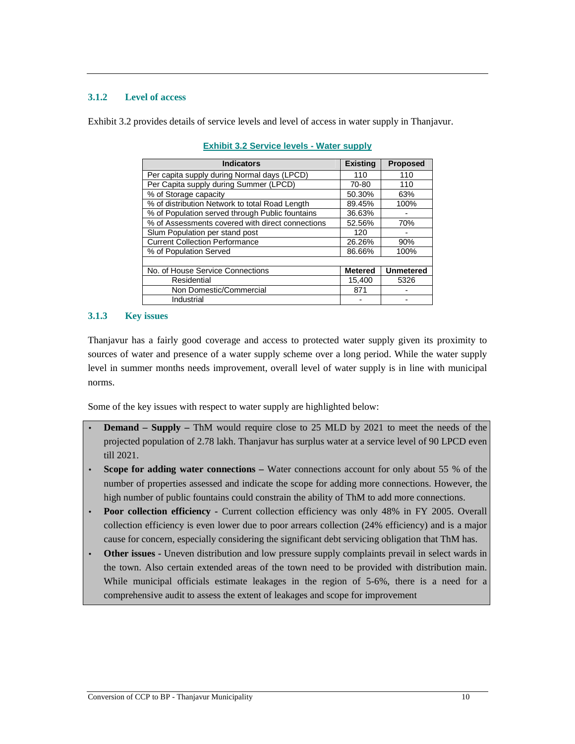## **3.1.2 Level of access**

Exhibit 3.2 provides details of service levels and level of access in water supply in Thanjavur.

| <b>Indicators</b>                                | <b>Existing</b> | <b>Proposed</b>  |
|--------------------------------------------------|-----------------|------------------|
| Per capita supply during Normal days (LPCD)      | 110             | 110              |
| Per Capita supply during Summer (LPCD)           | 70-80           | 110              |
| % of Storage capacity                            | 50.30%          | 63%              |
| % of distribution Network to total Road Length   | 89.45%          | 100%             |
| % of Population served through Public fountains  | 36.63%          |                  |
| % of Assessments covered with direct connections | 52.56%          | 70%              |
| Slum Population per stand post                   | 120             |                  |
| <b>Current Collection Performance</b>            | 26.26%          | 90%              |
| % of Population Served                           | 86.66%          | 100%             |
|                                                  |                 |                  |
| No. of House Service Connections                 | <b>Metered</b>  | <b>Unmetered</b> |
| Residential                                      | 15,400          | 5326             |
| Non Domestic/Commercial                          | 871             |                  |
| Industrial                                       |                 |                  |

| <b>Exhibit 3.2 Service levels - Water supply</b> |  |
|--------------------------------------------------|--|
|--------------------------------------------------|--|

### **3.1.3 Key issues**

Thanjavur has a fairly good coverage and access to protected water supply given its proximity to sources of water and presence of a water supply scheme over a long period. While the water supply level in summer months needs improvement, overall level of water supply is in line with municipal norms.

Some of the key issues with respect to water supply are highlighted below:

- **Demand Supply ThM** would require close to 25 MLD by 2021 to meet the needs of the projected population of 2.78 lakh. Thanjavur has surplus water at a service level of 90 LPCD even till 2021.
- **Scope for adding water connections** Water connections account for only about 55 % of the number of properties assessed and indicate the scope for adding more connections. However, the high number of public fountains could constrain the ability of ThM to add more connections.
- **Poor collection efficiency** Current collection efficiency was only 48% in FY 2005. Overall collection efficiency is even lower due to poor arrears collection (24% efficiency) and is a major cause for concern, especially considering the significant debt servicing obligation that ThM has.
- **Other issues** Uneven distribution and low pressure supply complaints prevail in select wards in the town. Also certain extended areas of the town need to be provided with distribution main. While municipal officials estimate leakages in the region of 5-6%, there is a need for a comprehensive audit to assess the extent of leakages and scope for improvement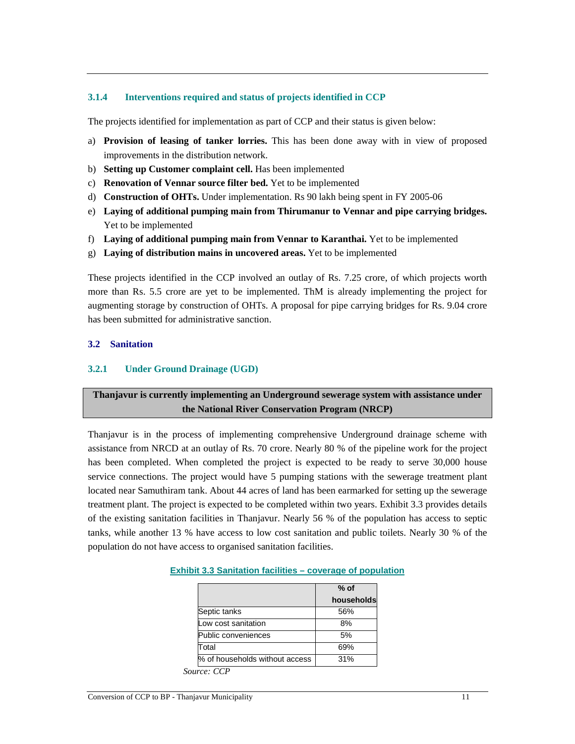## **3.1.4 Interventions required and status of projects identified in CCP**

The projects identified for implementation as part of CCP and their status is given below:

- a) **Provision of leasing of tanker lorries.** This has been done away with in view of proposed improvements in the distribution network.
- b) **Setting up Customer complaint cell.** Has been implemented
- c) **Renovation of Vennar source filter bed.** Yet to be implemented
- d) **Construction of OHTs.** Under implementation. Rs 90 lakh being spent in FY 2005-06
- e) **Laying of additional pumping main from Thirumanur to Vennar and pipe carrying bridges.** Yet to be implemented
- f) **Laying of additional pumping main from Vennar to Karanthai.** Yet to be implemented
- g) **Laying of distribution mains in uncovered areas.** Yet to be implemented

These projects identified in the CCP involved an outlay of Rs. 7.25 crore, of which projects worth more than Rs. 5.5 crore are yet to be implemented. ThM is already implementing the project for augmenting storage by construction of OHTs. A proposal for pipe carrying bridges for Rs. 9.04 crore has been submitted for administrative sanction.

## **3.2 Sanitation**

## **3.2.1 Under Ground Drainage (UGD)**

# **Thanjavur is currently implementing an Underground sewerage system with assistance under the National River Conservation Program (NRCP)**

Thanjavur is in the process of implementing comprehensive Underground drainage scheme with assistance from NRCD at an outlay of Rs. 70 crore. Nearly 80 % of the pipeline work for the project has been completed. When completed the project is expected to be ready to serve 30,000 house service connections. The project would have 5 pumping stations with the sewerage treatment plant located near Samuthiram tank. About 44 acres of land has been earmarked for setting up the sewerage treatment plant. The project is expected to be completed within two years. Exhibit 3.3 provides details of the existing sanitation facilities in Thanjavur. Nearly 56 % of the population has access to septic tanks, while another 13 % have access to low cost sanitation and public toilets. Nearly 30 % of the population do not have access to organised sanitation facilities.

|                                | $%$ of     |
|--------------------------------|------------|
|                                | households |
| Septic tanks                   | 56%        |
| Low cost sanitation            | 8%         |
| Public conveniences            | 5%         |
| Total                          | 69%        |
| % of households without access | 31%        |

#### **Exhibit 3.3 Sanitation facilities – coverage of population**

*Source: CCP*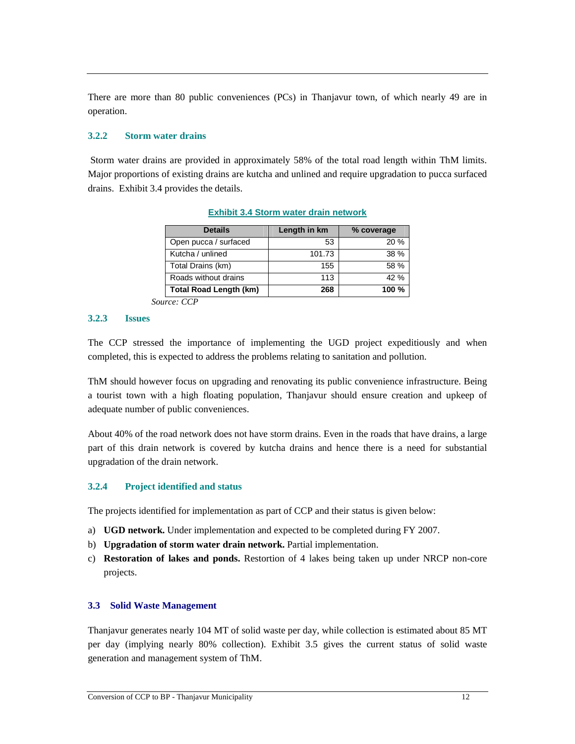There are more than 80 public conveniences (PCs) in Thanjavur town, of which nearly 49 are in operation.

## **3.2.2 Storm water drains**

 Storm water drains are provided in approximately 58% of the total road length within ThM limits. Major proportions of existing drains are kutcha and unlined and require upgradation to pucca surfaced drains. Exhibit 3.4 provides the details.

| <b>Details</b>                | Length in km | % coverage |
|-------------------------------|--------------|------------|
| Open pucca / surfaced         | 53           | 20%        |
| Kutcha / unlined              | 101.73       | 38 %       |
| Total Drains (km)             | 155          | 58 %       |
| Roads without drains          | 113          | 42%        |
| <b>Total Road Length (km)</b> | 268          | 100 $%$    |

**Exhibit 3.4 Storm water drain network**

*Source: CCP* 

#### **3.2.3 Issues**

The CCP stressed the importance of implementing the UGD project expeditiously and when completed, this is expected to address the problems relating to sanitation and pollution.

ThM should however focus on upgrading and renovating its public convenience infrastructure. Being a tourist town with a high floating population, Thanjavur should ensure creation and upkeep of adequate number of public conveniences.

About 40% of the road network does not have storm drains. Even in the roads that have drains, a large part of this drain network is covered by kutcha drains and hence there is a need for substantial upgradation of the drain network.

## **3.2.4 Project identified and status**

The projects identified for implementation as part of CCP and their status is given below:

- a) **UGD network.** Under implementation and expected to be completed during FY 2007.
- b) **Upgradation of storm water drain network.** Partial implementation.
- c) **Restoration of lakes and ponds.** Restortion of 4 lakes being taken up under NRCP non-core projects.

#### **3.3 Solid Waste Management**

Thanjavur generates nearly 104 MT of solid waste per day, while collection is estimated about 85 MT per day (implying nearly 80% collection). Exhibit 3.5 gives the current status of solid waste generation and management system of ThM.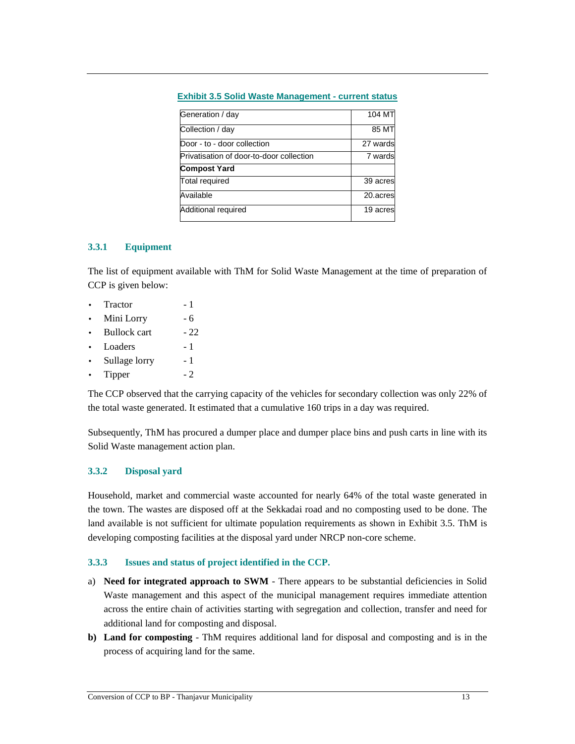| <b>Exhibit 3.5 Solid Waste Management - current status</b> |  |
|------------------------------------------------------------|--|
|------------------------------------------------------------|--|

| Generation / day                         | 104 MT   |
|------------------------------------------|----------|
| Collection / day                         | 85 MT    |
| Door - to - door collection              | 27 wards |
| Privatisation of door-to-door collection | 7 wards  |
| <b>Compost Yard</b>                      |          |
| <b>Total required</b>                    | 39 acres |
| Available                                | 20.acres |
| Additional required                      | 19 acres |

## **3.3.1 Equipment**

The list of equipment available with ThM for Solid Waste Management at the time of preparation of CCP is given below:

- Tractor 1
- Mini Lorry 6
- Bullock cart  $-22$
- Loaders 1
- Sullage lorry 1
- Tipper 2

The CCP observed that the carrying capacity of the vehicles for secondary collection was only 22% of the total waste generated. It estimated that a cumulative 160 trips in a day was required.

Subsequently, ThM has procured a dumper place and dumper place bins and push carts in line with its Solid Waste management action plan.

## **3.3.2 Disposal yard**

Household, market and commercial waste accounted for nearly 64% of the total waste generated in the town. The wastes are disposed off at the Sekkadai road and no composting used to be done. The land available is not sufficient for ultimate population requirements as shown in Exhibit 3.5. ThM is developing composting facilities at the disposal yard under NRCP non-core scheme.

## **3.3.3 Issues and status of project identified in the CCP.**

- a) **Need for integrated approach to SWM** There appears to be substantial deficiencies in Solid Waste management and this aspect of the municipal management requires immediate attention across the entire chain of activities starting with segregation and collection, transfer and need for additional land for composting and disposal.
- **b) Land for composting**  ThM requires additional land for disposal and composting and is in the process of acquiring land for the same.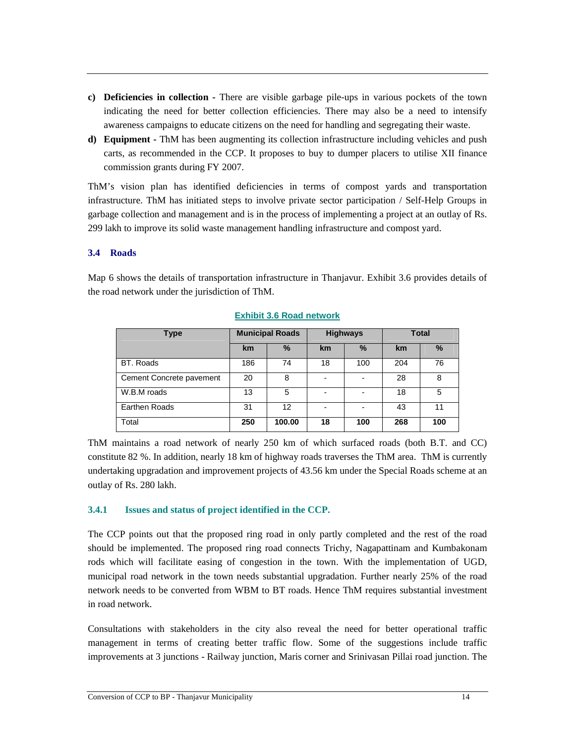- **c) Deficiencies in collection** There are visible garbage pile-ups in various pockets of the town indicating the need for better collection efficiencies. There may also be a need to intensify awareness campaigns to educate citizens on the need for handling and segregating their waste.
- **d) Equipment** ThM has been augmenting its collection infrastructure including vehicles and push carts, as recommended in the CCP. It proposes to buy to dumper placers to utilise XII finance commission grants during FY 2007.

ThM's vision plan has identified deficiencies in terms of compost yards and transportation infrastructure. ThM has initiated steps to involve private sector participation / Self-Help Groups in garbage collection and management and is in the process of implementing a project at an outlay of Rs. 299 lakh to improve its solid waste management handling infrastructure and compost yard.

## **3.4 Roads**

Map 6 shows the details of transportation infrastructure in Thanjavur. Exhibit 3.6 provides details of the road network under the jurisdiction of ThM.

| <b>Type</b>              | <b>Municipal Roads</b> |        | <b>Highways</b>          |      | <b>Total</b> |      |
|--------------------------|------------------------|--------|--------------------------|------|--------------|------|
|                          | km                     | %      | <b>km</b>                | $\%$ | km           | $\%$ |
| <b>BT.</b> Roads         | 186                    | 74     | 18                       | 100  | 204          | 76   |
| Cement Concrete pavement | 20                     | 8      |                          |      | 28           | 8    |
| W.B.M roads              | 13                     | 5      |                          |      | 18           | 5    |
| Earthen Roads            | 31                     | 12     | $\overline{\phantom{0}}$ |      | 43           | 11   |
| Total                    | 250                    | 100.00 | 18                       | 100  | 268          | 100  |

## **Exhibit 3.6 Road network**

ThM maintains a road network of nearly 250 km of which surfaced roads (both B.T. and CC) constitute 82 %. In addition, nearly 18 km of highway roads traverses the ThM area. ThM is currently undertaking upgradation and improvement projects of 43.56 km under the Special Roads scheme at an outlay of Rs. 280 lakh.

## **3.4.1 Issues and status of project identified in the CCP.**

The CCP points out that the proposed ring road in only partly completed and the rest of the road should be implemented. The proposed ring road connects Trichy, Nagapattinam and Kumbakonam rods which will facilitate easing of congestion in the town. With the implementation of UGD, municipal road network in the town needs substantial upgradation. Further nearly 25% of the road network needs to be converted from WBM to BT roads. Hence ThM requires substantial investment in road network.

Consultations with stakeholders in the city also reveal the need for better operational traffic management in terms of creating better traffic flow. Some of the suggestions include traffic improvements at 3 junctions - Railway junction, Maris corner and Srinivasan Pillai road junction. The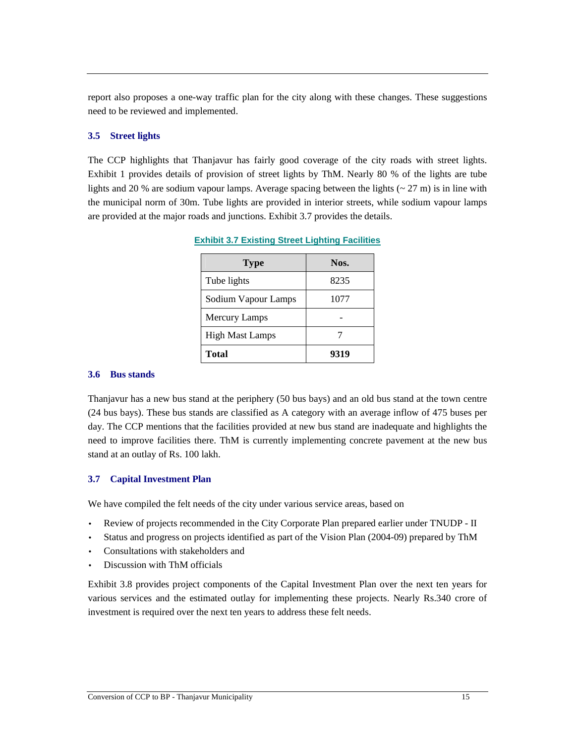report also proposes a one-way traffic plan for the city along with these changes. These suggestions need to be reviewed and implemented.

### **3.5 Street lights**

The CCP highlights that Thanjavur has fairly good coverage of the city roads with street lights. Exhibit 1 provides details of provision of street lights by ThM. Nearly 80 % of the lights are tube lights and 20 % are sodium vapour lamps. Average spacing between the lights  $\left(\sim 27 \text{ m}\right)$  is in line with the municipal norm of 30m. Tube lights are provided in interior streets, while sodium vapour lamps are provided at the major roads and junctions. Exhibit 3.7 provides the details.

| <b>Type</b>            | Nos. |
|------------------------|------|
| Tube lights            | 8235 |
| Sodium Vapour Lamps    | 1077 |
| <b>Mercury Lamps</b>   |      |
| <b>High Mast Lamps</b> |      |
| <b>Total</b>           | 9319 |

**Exhibit 3.7 Existing Street Lighting Facilities** 

#### **3.6 Bus stands**

Thanjavur has a new bus stand at the periphery (50 bus bays) and an old bus stand at the town centre (24 bus bays). These bus stands are classified as A category with an average inflow of 475 buses per day. The CCP mentions that the facilities provided at new bus stand are inadequate and highlights the need to improve facilities there. ThM is currently implementing concrete pavement at the new bus stand at an outlay of Rs. 100 lakh.

## **3.7 Capital Investment Plan**

We have compiled the felt needs of the city under various service areas, based on

- Review of projects recommended in the City Corporate Plan prepared earlier under TNUDP II
- Status and progress on projects identified as part of the Vision Plan (2004-09) prepared by ThM
- Consultations with stakeholders and
- Discussion with ThM officials

Exhibit 3.8 provides project components of the Capital Investment Plan over the next ten years for various services and the estimated outlay for implementing these projects. Nearly Rs.340 crore of investment is required over the next ten years to address these felt needs.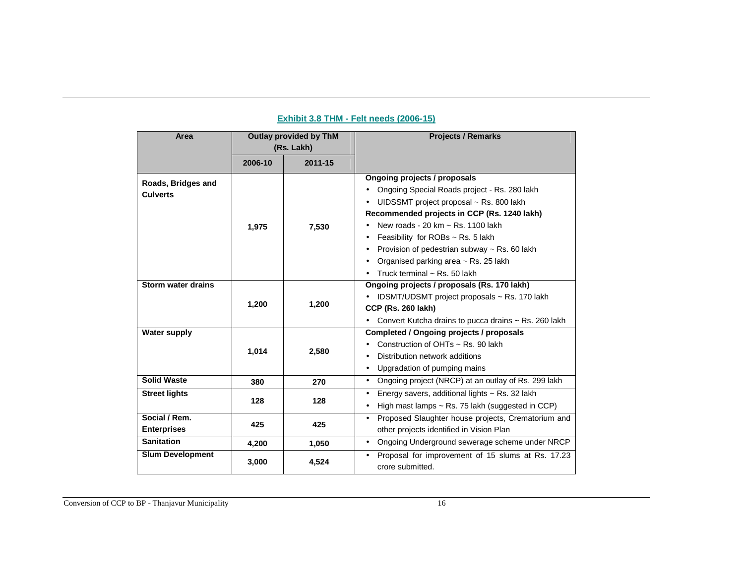| Area                                  | Outlay provided by ThM<br>(Rs. Lakh) |         | <b>Projects / Remarks</b>                                                                                                                                                                                                                                                                                                                                                     |
|---------------------------------------|--------------------------------------|---------|-------------------------------------------------------------------------------------------------------------------------------------------------------------------------------------------------------------------------------------------------------------------------------------------------------------------------------------------------------------------------------|
|                                       | 2006-10                              | 2011-15 |                                                                                                                                                                                                                                                                                                                                                                               |
| Roads, Bridges and<br><b>Culverts</b> | 1,975                                | 7,530   | Ongoing projects / proposals<br>Ongoing Special Roads project - Rs. 280 lakh<br>UIDSSMT project proposal ~ Rs. 800 lakh<br>Recommended projects in CCP (Rs. 1240 lakh)<br>New roads - 20 km ~ Rs. 1100 lakh<br>Feasibility for ROBs ~ Rs. 5 lakh<br>Provision of pedestrian subway ~ Rs. 60 lakh<br>Organised parking area ~ Rs. 25 lakh<br>Truck terminal $\sim$ Rs. 50 lakh |
| <b>Storm water drains</b>             | 1,200                                | 1,200   | Ongoing projects / proposals (Rs. 170 lakh)<br>IDSMT/UDSMT project proposals ~ Rs. 170 lakh<br><b>CCP (Rs. 260 lakh)</b><br>Convert Kutcha drains to pucca drains ~ Rs. 260 lakh                                                                                                                                                                                              |
| <b>Water supply</b>                   | 1,014                                | 2,580   | Completed / Ongoing projects / proposals<br>Construction of OHTs ~ Rs. 90 lakh<br>Distribution network additions<br>Upgradation of pumping mains<br>$\bullet$                                                                                                                                                                                                                 |
| <b>Solid Waste</b>                    | 380                                  | 270     | Ongoing project (NRCP) at an outlay of Rs. 299 lakh<br>$\bullet$                                                                                                                                                                                                                                                                                                              |
| <b>Street lights</b>                  | 128                                  | 128     | Energy savers, additional lights ~ Rs. 32 lakh<br>$\bullet$<br>High mast lamps $\sim$ Rs. 75 lakh (suggested in CCP)<br>$\bullet$                                                                                                                                                                                                                                             |
| Social / Rem.<br><b>Enterprises</b>   | 425                                  | 425     | Proposed Slaughter house projects, Crematorium and<br>$\bullet$<br>other projects identified in Vision Plan                                                                                                                                                                                                                                                                   |
| <b>Sanitation</b>                     | 4,200                                | 1,050   | Ongoing Underground sewerage scheme under NRCP<br>$\bullet$                                                                                                                                                                                                                                                                                                                   |
| <b>Slum Development</b>               | 3,000                                | 4,524   | Proposal for improvement of 15 slums at Rs. 17.23<br>$\bullet$<br>crore submitted.                                                                                                                                                                                                                                                                                            |

## **Exhibit 3.8 THM - Felt needs (2006-15)**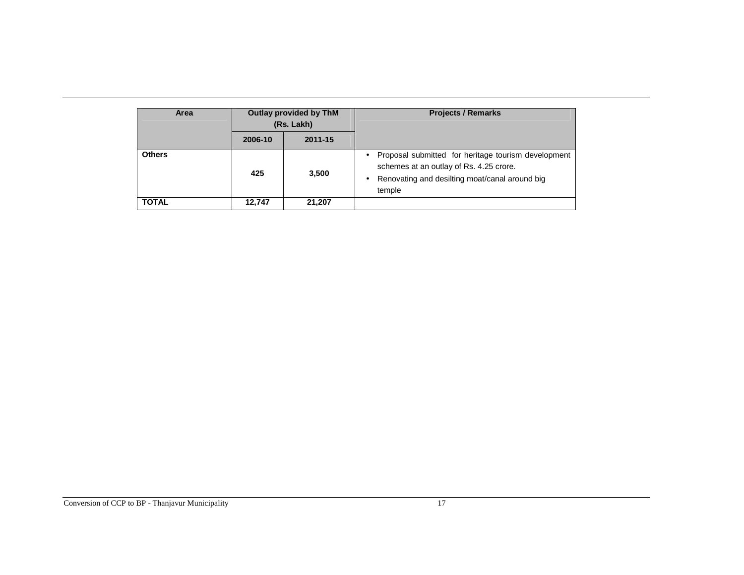| Area          | Outlay provided by ThM<br>(Rs. Lakh) |         | <b>Projects / Remarks</b>                                                                                                                                                    |
|---------------|--------------------------------------|---------|------------------------------------------------------------------------------------------------------------------------------------------------------------------------------|
|               | 2006-10                              | 2011-15 |                                                                                                                                                                              |
| <b>Others</b> | 425                                  | 3,500   | Proposal submitted for heritage tourism development<br>$\bullet$<br>schemes at an outlay of Rs. 4.25 crore.<br>Renovating and desilting moat/canal around big<br>٠<br>temple |
| <b>TOTAL</b>  | 12,747                               | 21,207  |                                                                                                                                                                              |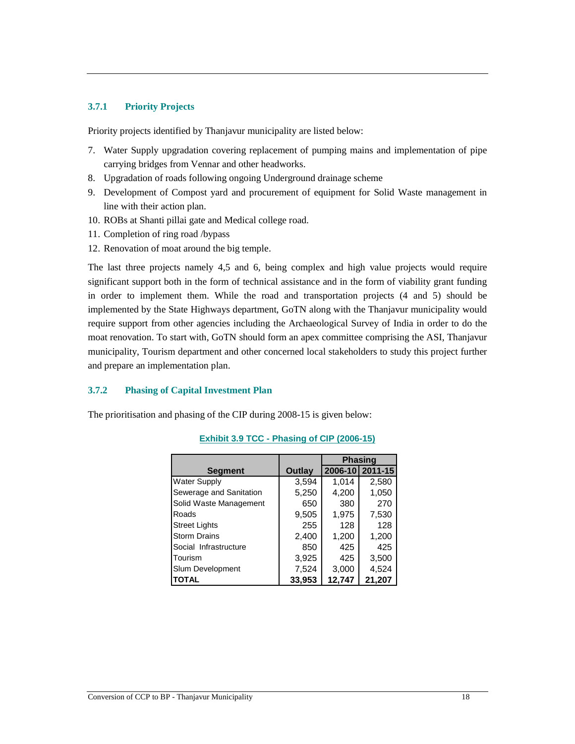### **3.7.1 Priority Projects**

Priority projects identified by Thanjavur municipality are listed below:

- 7. Water Supply upgradation covering replacement of pumping mains and implementation of pipe carrying bridges from Vennar and other headworks.
- 8. Upgradation of roads following ongoing Underground drainage scheme
- 9. Development of Compost yard and procurement of equipment for Solid Waste management in line with their action plan.
- 10. ROBs at Shanti pillai gate and Medical college road.
- 11. Completion of ring road /bypass
- 12. Renovation of moat around the big temple.

The last three projects namely 4,5 and 6, being complex and high value projects would require significant support both in the form of technical assistance and in the form of viability grant funding in order to implement them. While the road and transportation projects (4 and 5) should be implemented by the State Highways department, GoTN along with the Thanjavur municipality would require support from other agencies including the Archaeological Survey of India in order to do the moat renovation. To start with, GoTN should form an apex committee comprising the ASI, Thanjavur municipality, Tourism department and other concerned local stakeholders to study this project further and prepare an implementation plan.

#### **3.7.2 Phasing of Capital Investment Plan**

The prioritisation and phasing of the CIP during 2008-15 is given below:

|                         |        |        | <b>Phasing</b>  |
|-------------------------|--------|--------|-----------------|
| <b>Segment</b>          | Outlay |        | 2006-10 2011-15 |
| <b>Water Supply</b>     | 3,594  | 1,014  | 2,580           |
| Sewerage and Sanitation | 5,250  | 4,200  | 1,050           |
| Solid Waste Management  | 650    | 380    | 270             |
| Roads                   | 9,505  | 1,975  | 7,530           |
| <b>Street Lights</b>    | 255    | 128    | 128             |
| <b>Storm Drains</b>     | 2,400  | 1,200  | 1,200           |
| Social Infrastructure   | 850    | 425    | 425             |
| Tourism                 | 3,925  | 425    | 3,500           |
| Slum Development        | 7,524  | 3,000  | 4,524           |
| <b>TOTAL</b>            | 33,953 | 12,747 | 21,207          |

## **Exhibit 3.9 TCC - Phasing of CIP (2006-15)**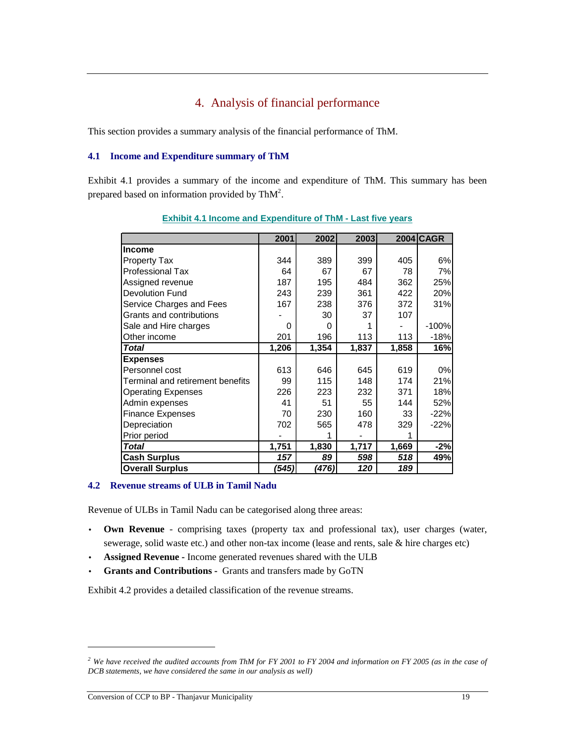# 4. Analysis of financial performance

This section provides a summary analysis of the financial performance of ThM.

#### **4.1 Income and Expenditure summary of ThM**

Exhibit 4.1 provides a summary of the income and expenditure of ThM. This summary has been prepared based on information provided by Th $M^2$ .

|                                  | 2001  | 2002  | 2003  |       | <b>2004 CAGR</b> |
|----------------------------------|-------|-------|-------|-------|------------------|
| <b>Income</b>                    |       |       |       |       |                  |
| <b>Property Tax</b>              | 344   | 389   | 399   | 405   | 6%               |
| <b>Professional Tax</b>          | 64    | 67    | 67    | 78    | 7%               |
| Assigned revenue                 | 187   | 195   | 484   | 362   | 25%              |
| <b>Devolution Fund</b>           | 243   | 239   | 361   | 422   | 20%              |
| Service Charges and Fees         | 167   | 238   | 376   | 372   | 31%              |
| Grants and contributions         |       | 30    | 37    | 107   |                  |
| Sale and Hire charges            | 0     | 0     |       |       | $-100%$          |
| Other income                     | 201   | 196   | 113   | 113   | $-18%$           |
| Total                            | 1,206 | 1,354 | 1,837 | 1,858 | 16%              |
| <b>Expenses</b>                  |       |       |       |       |                  |
| Personnel cost                   | 613   | 646   | 645   | 619   | $0\%$            |
| Terminal and retirement benefits | 99    | 115   | 148   | 174   | 21%              |
| <b>Operating Expenses</b>        | 226   | 223   | 232   | 371   | 18%              |
| Admin expenses                   | 41    | 51    | 55    | 144   | 52%              |
| <b>Finance Expenses</b>          | 70    | 230   | 160   | 33    | $-22%$           |
| Depreciation                     | 702   | 565   | 478   | 329   | $-22%$           |
| Prior period                     |       |       |       |       |                  |
| <b>Total</b>                     | 1,751 | 1,830 | 1,717 | 1,669 | $-2%$            |
| <b>Cash Surplus</b>              | 157   | 89    | 598   | 518   | 49%              |
| <b>Overall Surplus</b>           | (545) | (476) | 120   | 189   |                  |

**Exhibit 4.1 Income and Expenditure of ThM - Last five years**

## **4.2 Revenue streams of ULB in Tamil Nadu**

Revenue of ULBs in Tamil Nadu can be categorised along three areas:

- **Own Revenue**  comprising taxes (property tax and professional tax), user charges (water, sewerage, solid waste etc.) and other non-tax income (lease and rents, sale & hire charges etc)
- **Assigned Revenue** Income generated revenues shared with the ULB
- **Grants and Contributions** Grants and transfers made by GoTN

Exhibit 4.2 provides a detailed classification of the revenue streams.

-

*<sup>2</sup> We have received the audited accounts from ThM for FY 2001 to FY 2004 and information on FY 2005 (as in the case of DCB statements, we have considered the same in our analysis as well)*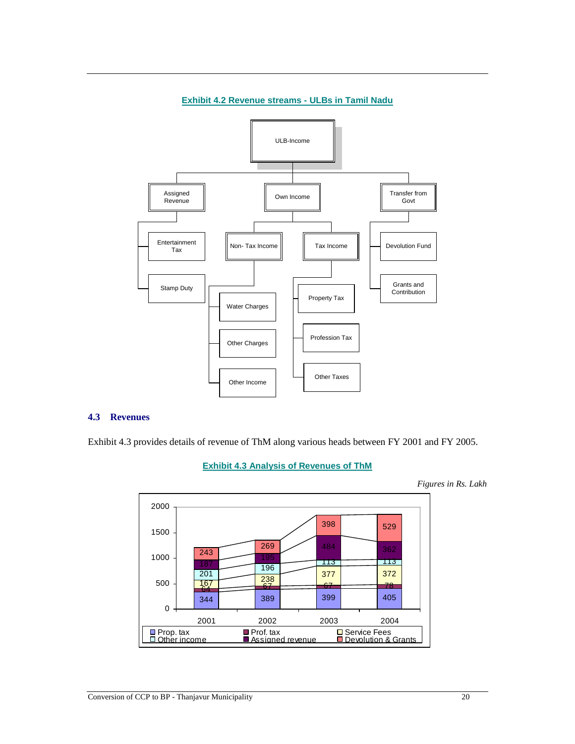

#### **Exhibit 4.2 Revenue streams - ULBs in Tamil Nadu**

#### **4.3 Revenues**

Exhibit 4.3 provides details of revenue of ThM along various heads between FY 2001 and FY 2005.

## **Exhibit 4.3 Analysis of Revenues of ThM**



*Figures in Rs. Lakh*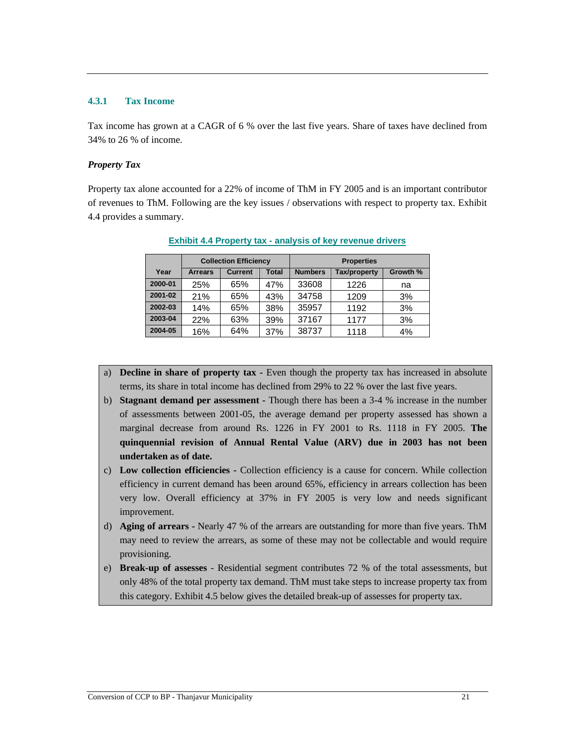#### **4.3.1 Tax Income**

Tax income has grown at a CAGR of 6 % over the last five years. Share of taxes have declined from 34% to 26 % of income.

## *Property Tax*

Property tax alone accounted for a 22% of income of ThM in FY 2005 and is an important contributor of revenues to ThM. Following are the key issues / observations with respect to property tax. Exhibit 4.4 provides a summary.

|         |                | <b>Collection Efficiency</b> |       | <b>Properties</b> |                     |          |  |
|---------|----------------|------------------------------|-------|-------------------|---------------------|----------|--|
| Year    | <b>Arrears</b> | <b>Current</b>               | Total | <b>Numbers</b>    | <b>Tax/property</b> | Growth % |  |
| 2000-01 | 25%            | 65%                          | 47%   | 33608             | 1226                | na       |  |
| 2001-02 | 21%            | 65%                          | 43%   | 34758             | 1209                | 3%       |  |
| 2002-03 | 14%            | 65%                          | 38%   | 35957             | 1192                | 3%       |  |
| 2003-04 | 22%            | 63%                          | 39%   | 37167             | 1177                | 3%       |  |
| 2004-05 | 16%            | 64%                          | 37%   | 38737             | 1118                | 4%       |  |

**Exhibit 4.4 Property tax - analysis of key revenue drivers**

- a) **Decline in share of property tax** Even though the property tax has increased in absolute terms, its share in total income has declined from 29% to 22 % over the last five years.
- b) **Stagnant demand per assessment** Though there has been a 3-4 % increase in the number of assessments between 2001-05, the average demand per property assessed has shown a marginal decrease from around Rs. 1226 in FY 2001 to Rs. 1118 in FY 2005. **The quinquennial revision of Annual Rental Value (ARV) due in 2003 has not been undertaken as of date.**
- c) **Low collection efficiencies** Collection efficiency is a cause for concern. While collection efficiency in current demand has been around 65%, efficiency in arrears collection has been very low. Overall efficiency at 37% in FY 2005 is very low and needs significant improvement.
- d) **Aging of arrears -** Nearly 47 % of the arrears are outstanding for more than five years. ThM may need to review the arrears, as some of these may not be collectable and would require provisioning.
- e) **Break-up of assesses** Residential segment contributes 72 % of the total assessments, but only 48% of the total property tax demand. ThM must take steps to increase property tax from this category. Exhibit 4.5 below gives the detailed break-up of assesses for property tax.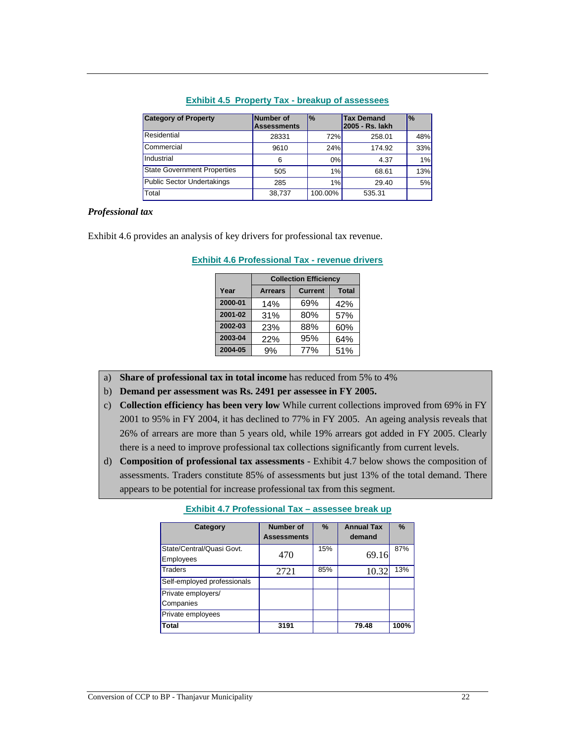| <b>Category of Property</b>        | Number of<br><b>Assessments</b> | $\frac{9}{6}$ | <b>Tax Demand</b><br>2005 - Rs. lakh | $\frac{1}{6}$ |
|------------------------------------|---------------------------------|---------------|--------------------------------------|---------------|
| Residential                        | 28331                           | 72%           | 258.01                               | 48%           |
| Commercial                         | 9610                            | 24%           | 174.92                               | 33%           |
| Industrial                         | 6                               | $0\%$         | 4.37                                 | 1%            |
| <b>State Government Properties</b> | 505                             | 1%            | 68.61                                | 13%           |
| <b>Public Sector Undertakings</b>  | 285                             | 1%            | 29.40                                | 5%            |
| Total                              | 38.737                          | 100.00%       | 535.31                               |               |

#### **Exhibit 4.5 Property Tax - breakup of assessees**

#### *Professional tax*

Exhibit 4.6 provides an analysis of key drivers for professional tax revenue.

|         |                | <b>Collection Efficiency</b> |              |
|---------|----------------|------------------------------|--------------|
| Year    | <b>Arrears</b> | <b>Current</b>               | <b>Total</b> |
| 2000-01 | 14%            | 69%                          | 42%          |
| 2001-02 | 31%            | 80%                          | 57%          |
| 2002-03 | 23%            | 88%                          | 60%          |
| 2003-04 | 22%            | 95%                          | 64%          |
| 2004-05 | 9%             | 77%                          | 51%          |

#### **Exhibit 4.6 Professional Tax - revenue drivers**

- a) **Share of professional tax in total income** has reduced from 5% to 4%
- b) **Demand per assessment was Rs. 2491 per assessee in FY 2005.**
- c) **Collection efficiency has been very low** While current collections improved from 69% in FY 2001 to 95% in FY 2004, it has declined to 77% in FY 2005. An ageing analysis reveals that 26% of arrears are more than 5 years old, while 19% arrears got added in FY 2005. Clearly there is a need to improve professional tax collections significantly from current levels.
- d) **Composition of professional tax assessments**  Exhibit 4.7 below shows the composition of assessments. Traders constitute 85% of assessments but just 13% of the total demand. There appears to be potential for increase professional tax from this segment.

| Category                    | <b>Number of</b>   | $\%$ | <b>Annual Tax</b> | $\%$ |
|-----------------------------|--------------------|------|-------------------|------|
|                             | <b>Assessments</b> |      | demand            |      |
| State/Central/Quasi Govt.   | 470                | 15%  | 69.16             | 87%  |
| Employees                   |                    |      |                   |      |
| Traders                     | 2721               | 85%  | 10.32             | 13%  |
| Self-employed professionals |                    |      |                   |      |
| Private employers/          |                    |      |                   |      |
| Companies                   |                    |      |                   |      |
| Private employees           |                    |      |                   |      |
| Total                       | 3191               |      | 79.48             | 100% |

#### **Exhibit 4.7 Professional Tax – assessee break up**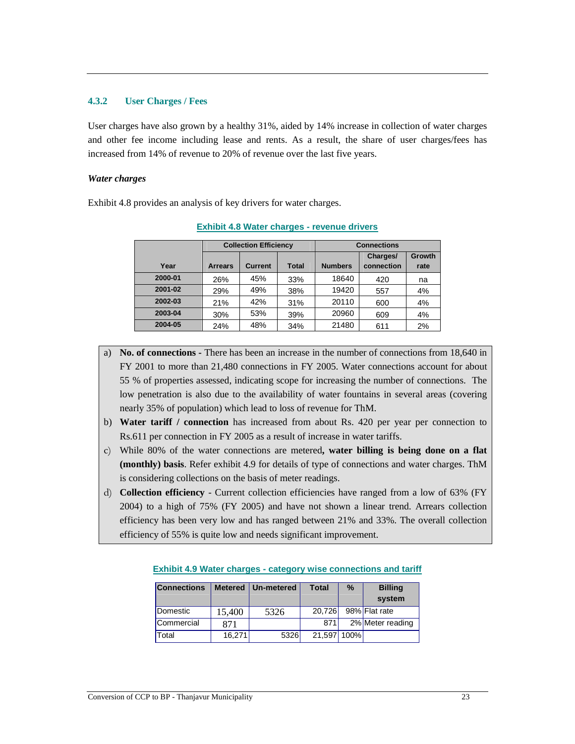#### **4.3.2 User Charges / Fees**

User charges have also grown by a healthy 31%, aided by 14% increase in collection of water charges and other fee income including lease and rents. As a result, the share of user charges/fees has increased from 14% of revenue to 20% of revenue over the last five years.

#### *Water charges*

Exhibit 4.8 provides an analysis of key drivers for water charges.

|         |                | <b>Collection Efficiency</b> |              | <b>Connections</b> |            |        |  |
|---------|----------------|------------------------------|--------------|--------------------|------------|--------|--|
|         |                |                              |              |                    | Charges/   | Growth |  |
| Year    | <b>Arrears</b> | <b>Current</b>               | <b>Total</b> | <b>Numbers</b>     | connection | rate   |  |
| 2000-01 | 26%            | 45%                          | 33%          | 18640              | 420        | na     |  |
| 2001-02 | 29%            | 49%                          | 38%          | 19420              | 557        | 4%     |  |
| 2002-03 | 21%            | 42%                          | 31%          | 20110              | 600        | 4%     |  |
| 2003-04 | 30%            | 53%                          | 39%          | 20960              | 609        | 4%     |  |
| 2004-05 | 24%            | 48%                          | 34%          | 21480              | 611        | 2%     |  |

**Exhibit 4.8 Water charges - revenue drivers**

- a) **No. of connections** There has been an increase in the number of connections from 18,640 in FY 2001 to more than 21,480 connections in FY 2005. Water connections account for about 55 % of properties assessed, indicating scope for increasing the number of connections. The low penetration is also due to the availability of water fountains in several areas (covering nearly 35% of population) which lead to loss of revenue for ThM.
- b) **Water tariff / connection** has increased from about Rs. 420 per year per connection to Rs.611 per connection in FY 2005 as a result of increase in water tariffs.
- c) While 80% of the water connections are metered**, water billing is being done on a flat (monthly) basis**. Refer exhibit 4.9 for details of type of connections and water charges. ThM is considering collections on the basis of meter readings.
- d) **Collection efficiency** Current collection efficiencies have ranged from a low of 63% (FY 2004) to a high of 75% (FY 2005) and have not shown a linear trend. Arrears collection efficiency has been very low and has ranged between 21% and 33%. The overall collection efficiency of 55% is quite low and needs significant improvement.

| <b>Connections</b> |        | Metered   Un-metered | <b>Total</b> | $\%$ | <b>Billing</b>   |
|--------------------|--------|----------------------|--------------|------|------------------|
|                    |        |                      |              |      | system           |
| Domestic           | 15,400 | 5326                 | 20,726       |      | 98% Flat rate    |
| Commercial         | 871    |                      | 871          |      | 2% Meter reading |
| Total              | 16,271 | 5326                 | 21,597 100%  |      |                  |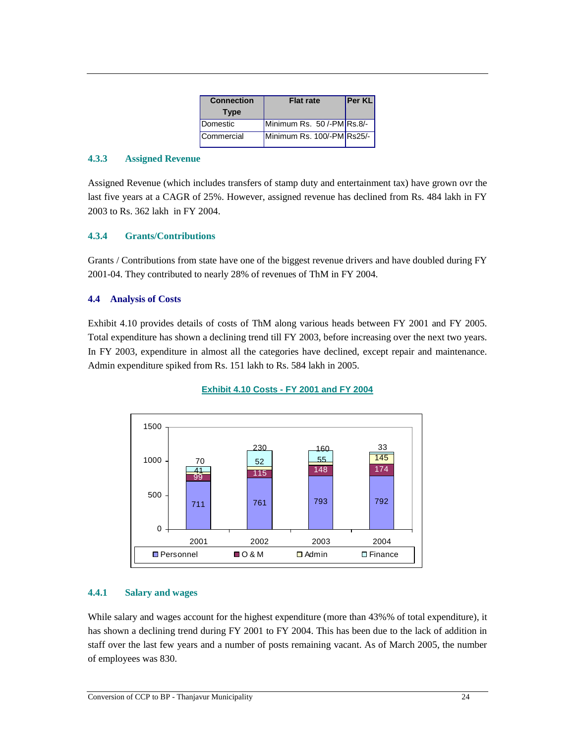| <b>Connection</b><br><b>Type</b> | <b>Flat rate</b>           | <b>Per KL</b> |
|----------------------------------|----------------------------|---------------|
| Domestic                         | Minimum Rs. 50/-PM Rs.8/-  |               |
| Commercial                       | Minimum Rs. 100/-PM Rs25/- |               |

## **4.3.3 Assigned Revenue**

Assigned Revenue (which includes transfers of stamp duty and entertainment tax) have grown ovr the last five years at a CAGR of 25%. However, assigned revenue has declined from Rs. 484 lakh in FY 2003 to Rs. 362 lakh in FY 2004.

## **4.3.4 Grants/Contributions**

Grants / Contributions from state have one of the biggest revenue drivers and have doubled during FY 2001-04. They contributed to nearly 28% of revenues of ThM in FY 2004.

### **4.4 Analysis of Costs**

Exhibit 4.10 provides details of costs of ThM along various heads between FY 2001 and FY 2005. Total expenditure has shown a declining trend till FY 2003, before increasing over the next two years. In FY 2003, expenditure in almost all the categories have declined, except repair and maintenance. Admin expenditure spiked from Rs. 151 lakh to Rs. 584 lakh in 2005.



## **Exhibit 4.10 Costs - FY 2001 and FY 2004**

#### **4.4.1 Salary and wages**

While salary and wages account for the highest expenditure (more than 43%% of total expenditure), it has shown a declining trend during FY 2001 to FY 2004. This has been due to the lack of addition in staff over the last few years and a number of posts remaining vacant. As of March 2005, the number of employees was 830.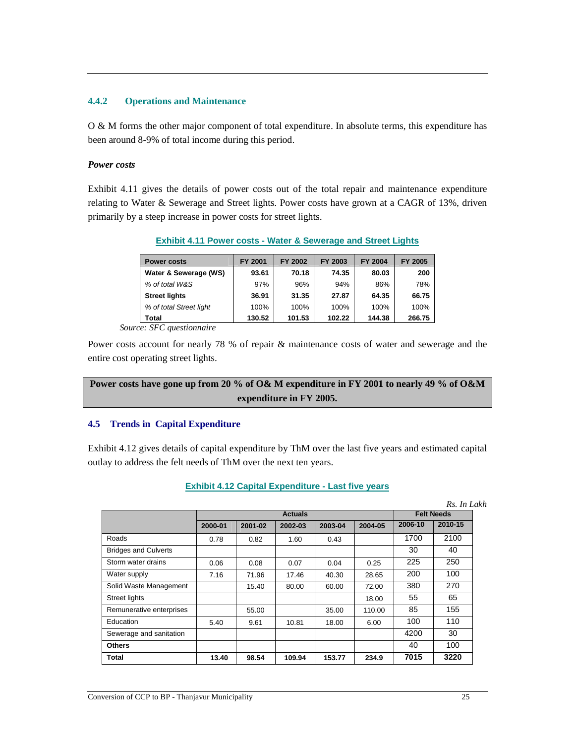### **4.4.2 Operations and Maintenance**

O & M forms the other major component of total expenditure. In absolute terms, this expenditure has been around 8-9% of total income during this period.

#### *Power costs*

Exhibit 4.11 gives the details of power costs out of the total repair and maintenance expenditure relating to Water & Sewerage and Street lights. Power costs have grown at a CAGR of 13%, driven primarily by a steep increase in power costs for street lights.

**Exhibit 4.11 Power costs - Water & Sewerage and Street Lights**

| <b>Power costs</b>      | FY 2001 | FY 2002 | FY 2003 | <b>FY 2004</b> | FY 2005 |
|-------------------------|---------|---------|---------|----------------|---------|
| Water & Sewerage (WS)   | 93.61   | 70.18   | 74.35   | 80.03          | 200     |
| % of total W&S          | 97%     | 96%     | 94%     | 86%            | 78%     |
| <b>Street lights</b>    | 36.91   | 31.35   | 27.87   | 64.35          | 66.75   |
| % of total Street light | 100%    | 100%    | 100%    | 100%           | 100%    |
|                         |         |         |         |                |         |

**Total 130.52 101.53 102.22 144.38 266.75**   *Source: SFC questionnaire* 

Power costs account for nearly 78 % of repair & maintenance costs of water and sewerage and the entire cost operating street lights.

# **Power costs have gone up from 20 % of O& M expenditure in FY 2001 to nearly 49 % of O&M expenditure in FY 2005.**

#### **4.5 Trends in Capital Expenditure**

Exhibit 4.12 gives details of capital expenditure by ThM over the last five years and estimated capital outlay to address the felt needs of ThM over the next ten years.

## **Exhibit 4.12 Capital Expenditure - Last five years**

|                             |         |                |         |         |         |         | Rs. In Lakh       |  |
|-----------------------------|---------|----------------|---------|---------|---------|---------|-------------------|--|
|                             |         | <b>Actuals</b> |         |         |         |         | <b>Felt Needs</b> |  |
|                             | 2000-01 | 2001-02        | 2002-03 | 2003-04 | 2004-05 | 2006-10 | 2010-15           |  |
| Roads                       | 0.78    | 0.82           | 1.60    | 0.43    |         | 1700    | 2100              |  |
| <b>Bridges and Culverts</b> |         |                |         |         |         | 30      | 40                |  |
| Storm water drains          | 0.06    | 0.08           | 0.07    | 0.04    | 0.25    | 225     | 250               |  |
| Water supply                | 7.16    | 71.96          | 17.46   | 40.30   | 28.65   | 200     | 100               |  |
| Solid Waste Management      |         | 15.40          | 80.00   | 60.00   | 72.00   | 380     | 270               |  |
| <b>Street lights</b>        |         |                |         |         | 18.00   | 55      | 65                |  |
| Remunerative enterprises    |         | 55.00          |         | 35.00   | 110.00  | 85      | 155               |  |
| Education                   | 5.40    | 9.61           | 10.81   | 18.00   | 6.00    | 100     | 110               |  |
| Sewerage and sanitation     |         |                |         |         |         | 4200    | 30                |  |
| <b>Others</b>               |         |                |         |         |         | 40      | 100               |  |
| Total                       | 13.40   | 98.54          | 109.94  | 153.77  | 234.9   | 7015    | 3220              |  |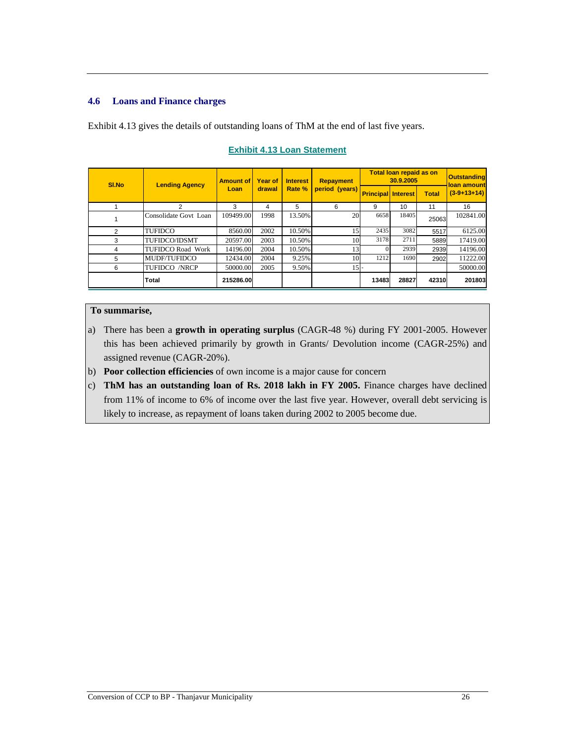## **4.6 Loans and Finance charges**

Exhibit 4.13 gives the details of outstanding loans of ThM at the end of last five years.

| SI.No | <b>Lending Agency</b>    | <b>Amount of</b> | <b>Year of</b> | <b>Interest</b> | <b>Repayment</b> | <b>Total loan repaid as on</b><br>30.9.2005 |       |              | <b>Outstanding</b><br>loan amount |
|-------|--------------------------|------------------|----------------|-----------------|------------------|---------------------------------------------|-------|--------------|-----------------------------------|
|       |                          | Loan             | drawal         | Rate %          | period (years)   | <b>Principal Interest</b>                   |       | <b>Total</b> | $(3-9+13+14)$                     |
|       | $\mathcal{P}$            | 3                | 4              | 5               | 6                | 9                                           | 10    | 11           | 16                                |
|       | Consolidate Govt Loan    | 109499.00        | 1998           | 13.50%          | <b>20</b>        | 6658                                        | 18405 | 25063        | 102841.00                         |
| 2     | TUFIDCO                  | 8560.00          | 2002           | 10.50%          | 15               | 2435                                        | 3082  | 5517         | 6125.00                           |
| 3     | TUFIDCO/IDSMT            | 20597.00         | 2003           | 10.50%          | 10               | 3178                                        | 2711  | 5889         | 17419.00                          |
| 4     | <b>TUFIDCO Road Work</b> | 14196.00         | 2004           | 10.50%          | 13               | $\Omega$                                    | 2939  | 2939         | 14196.00                          |
| 5     | MUDF/TUFIDCO             | 12434.00         | 2004           | 9.25%           | 10               | 1212                                        | 1690  | 2902         | 11222.00                          |
| 6     | <b>TUFIDCO /NRCP</b>     | 50000.00         | 2005           | 9.50%           | 15 <sup>1</sup>  |                                             |       |              | 50000.00                          |
|       | Total                    | 215286.00        |                |                 |                  | 13483                                       | 28827 | 42310        | 201803                            |

## **Exhibit 4.13 Loan Statement**

## **To summarise,**

- a) There has been a **growth in operating surplus** (CAGR-48 %) during FY 2001-2005. However this has been achieved primarily by growth in Grants/ Devolution income (CAGR-25%) and assigned revenue (CAGR-20%).
- b) **Poor collection efficiencies** of own income is a major cause for concern
- c) **ThM has an outstanding loan of Rs. 2018 lakh in FY 2005.** Finance charges have declined from 11% of income to 6% of income over the last five year. However, overall debt servicing is likely to increase, as repayment of loans taken during 2002 to 2005 become due.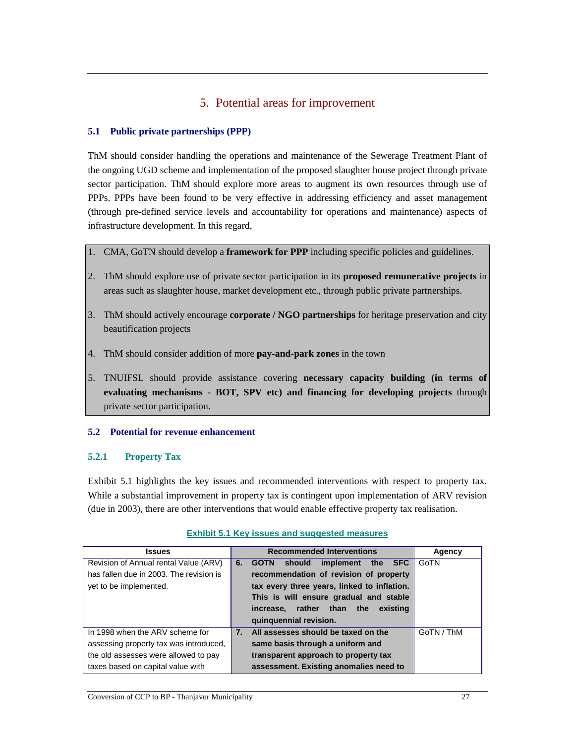# 5. Potential areas for improvement

## **5.1 Public private partnerships (PPP)**

ThM should consider handling the operations and maintenance of the Sewerage Treatment Plant of the ongoing UGD scheme and implementation of the proposed slaughter house project through private sector participation. ThM should explore more areas to augment its own resources through use of PPPs. PPPs have been found to be very effective in addressing efficiency and asset management (through pre-defined service levels and accountability for operations and maintenance) aspects of infrastructure development. In this regard,

- 1. CMA, GoTN should develop a **framework for PPP** including specific policies and guidelines.
- 2. ThM should explore use of private sector participation in its **proposed remunerative projects** in areas such as slaughter house, market development etc., through public private partnerships.
- 3. ThM should actively encourage **corporate / NGO partnerships** for heritage preservation and city beautification projects
- 4. ThM should consider addition of more **pay-and-park zones** in the town
- 5. TNUIFSL should provide assistance covering **necessary capacity building (in terms of evaluating mechanisms - BOT, SPV etc) and financing for developing projects** through private sector participation.

## **5.2 Potential for revenue enhancement**

## **5.2.1 Property Tax**

Exhibit 5.1 highlights the key issues and recommended interventions with respect to property tax. While a substantial improvement in property tax is contingent upon implementation of ARV revision (due in 2003), there are other interventions that would enable effective property tax realisation.

| <b>Issues</b>                           | <b>Recommended Interventions</b>                           | Agency     |
|-----------------------------------------|------------------------------------------------------------|------------|
| Revision of Annual rental Value (ARV)   | implement the<br><b>SFC</b><br>should<br><b>GOTN</b><br>6. | GoTN       |
| has fallen due in 2003. The revision is | recommendation of revision of property                     |            |
| yet to be implemented.                  | tax every three years, linked to inflation.                |            |
|                                         | This is will ensure gradual and stable                     |            |
|                                         | increase, rather than the<br>existing                      |            |
|                                         | quinquennial revision.                                     |            |
| In 1998 when the ARV scheme for         | All assesses should be taxed on the<br>7.                  | GoTN / ThM |
| assessing property tax was introduced,  | same basis through a uniform and                           |            |
| the old assesses were allowed to pay    | transparent approach to property tax                       |            |
| taxes based on capital value with       | assessment. Existing anomalies need to                     |            |

#### **Exhibit 5.1 Key issues and suggested measures**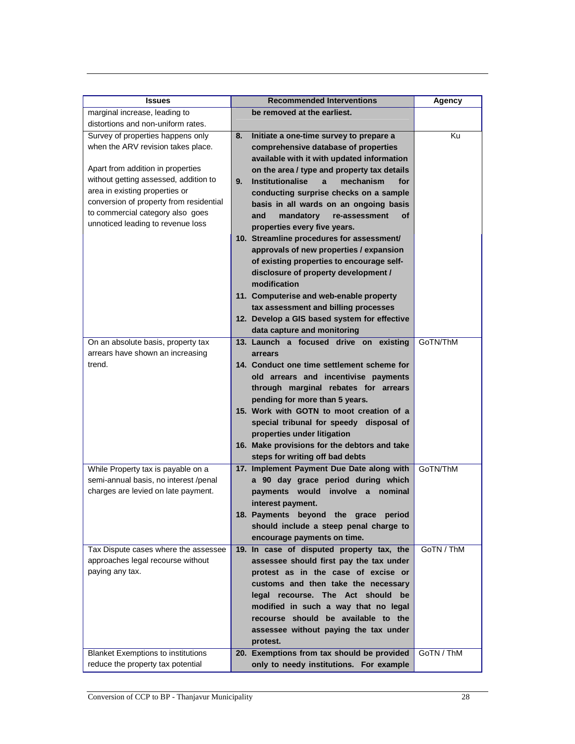| <b>Recommended Interventions</b><br><b>Issues</b>                                                                           | Agency     |
|-----------------------------------------------------------------------------------------------------------------------------|------------|
| be removed at the earliest.<br>marginal increase, leading to                                                                |            |
| distortions and non-uniform rates.                                                                                          |            |
| Survey of properties happens only<br>8.<br>Initiate a one-time survey to prepare a                                          | Ku         |
| when the ARV revision takes place.<br>comprehensive database of properties                                                  |            |
| available with it with updated information                                                                                  |            |
| Apart from addition in properties<br>on the area / type and property tax details                                            |            |
| without getting assessed, addition to<br>9.<br><b>Institutionalise</b><br>mechanism<br>for<br>a                             |            |
| area in existing properties or<br>conducting surprise checks on a sample                                                    |            |
| conversion of property from residential<br>basis in all wards on an ongoing basis                                           |            |
| to commercial category also goes<br>and<br>mandatory<br>οf<br>re-assessment                                                 |            |
| unnoticed leading to revenue loss<br>properties every five years.                                                           |            |
| 10. Streamline procedures for assessment/                                                                                   |            |
| approvals of new properties / expansion                                                                                     |            |
| of existing properties to encourage self-                                                                                   |            |
| disclosure of property development /                                                                                        |            |
| modification                                                                                                                |            |
| 11. Computerise and web-enable property                                                                                     |            |
| tax assessment and billing processes                                                                                        |            |
| 12. Develop a GIS based system for effective                                                                                |            |
| data capture and monitoring                                                                                                 | GoTN/ThM   |
| 13. Launch a focused drive on existing<br>On an absolute basis, property tax<br>arrears have shown an increasing<br>arrears |            |
| trend.<br>14. Conduct one time settlement scheme for                                                                        |            |
| old arrears and incentivise payments                                                                                        |            |
| through marginal rebates for arrears                                                                                        |            |
| pending for more than 5 years.                                                                                              |            |
| 15. Work with GOTN to moot creation of a                                                                                    |            |
| special tribunal for speedy disposal of                                                                                     |            |
| properties under litigation                                                                                                 |            |
| 16. Make provisions for the debtors and take                                                                                |            |
| steps for writing off bad debts                                                                                             |            |
| While Property tax is payable on a<br>17. Implement Payment Due Date along with                                             | GoTN/ThM   |
| semi-annual basis, no interest /penal<br>a 90 day grace period during which                                                 |            |
|                                                                                                                             |            |
| charges are levied on late payment.<br>payments would<br>involve a nominal                                                  |            |
| interest payment.                                                                                                           |            |
| 18. Payments beyond the grace period                                                                                        |            |
| should include a steep penal charge to                                                                                      |            |
| encourage payments on time.                                                                                                 |            |
| 19. In case of disputed property tax, the<br>Tax Dispute cases where the assessee                                           | GoTN / ThM |
| approaches legal recourse without<br>assessee should first pay the tax under                                                |            |
| paying any tax.<br>protest as in the case of excise or                                                                      |            |
| customs and then take the necessary                                                                                         |            |
| legal recourse. The Act should be                                                                                           |            |
| modified in such a way that no legal                                                                                        |            |
| recourse should be available to the                                                                                         |            |
| assessee without paying the tax under                                                                                       |            |
| protest.<br><b>Blanket Exemptions to institutions</b><br>20. Exemptions from tax should be provided                         | GoTN / ThM |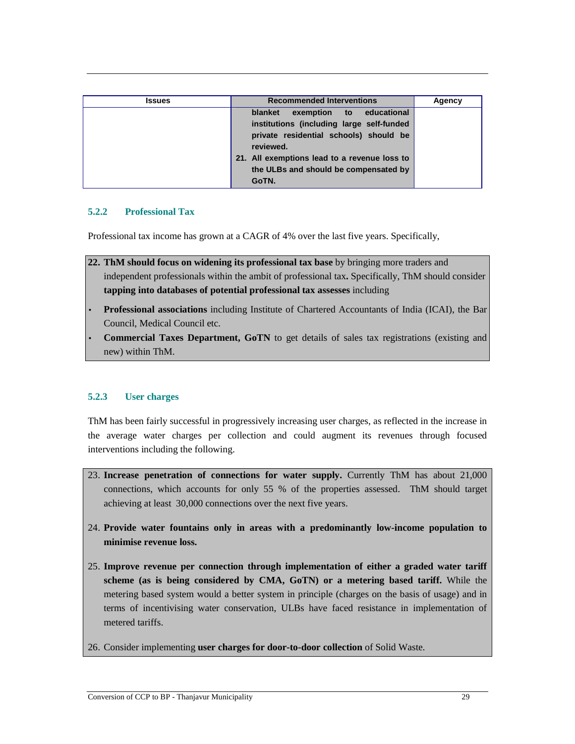| <b>Issues</b> | <b>Recommended Interventions</b>                                                                                                                                                                                                 | Agency |
|---------------|----------------------------------------------------------------------------------------------------------------------------------------------------------------------------------------------------------------------------------|--------|
|               | blanket<br>exemption to educational<br>institutions (including large self-funded<br>private residential schools) should be<br>reviewed.<br>21. All exemptions lead to a revenue loss to<br>the ULBs and should be compensated by |        |
|               | GoTN.                                                                                                                                                                                                                            |        |

## **5.2.2 Professional Tax**

Professional tax income has grown at a CAGR of 4% over the last five years. Specifically,

**22. ThM should focus on widening its professional tax base** by bringing more traders and independent professionals within the ambit of professional tax**.** Specifically, ThM should consider **tapping into databases of potential professional tax assesses** including

- **Professional associations** including Institute of Chartered Accountants of India (ICAI), the Bar Council, Medical Council etc.
- **Commercial Taxes Department, GoTN** to get details of sales tax registrations (existing and new) within ThM.

## **5.2.3 User charges**

ThM has been fairly successful in progressively increasing user charges, as reflected in the increase in the average water charges per collection and could augment its revenues through focused interventions including the following.

- 23. **Increase penetration of connections for water supply.** Currently ThM has about 21,000 connections, which accounts for only 55 % of the properties assessed. ThM should target achieving at least 30,000 connections over the next five years.
- 24. **Provide water fountains only in areas with a predominantly low-income population to minimise revenue loss.**
- 25. **Improve revenue per connection through implementation of either a graded water tariff scheme (as is being considered by CMA, GoTN) or a metering based tariff.** While the metering based system would a better system in principle (charges on the basis of usage) and in terms of incentivising water conservation, ULBs have faced resistance in implementation of metered tariffs.
- 26. Consider implementing **user charges for door-to-door collection** of Solid Waste.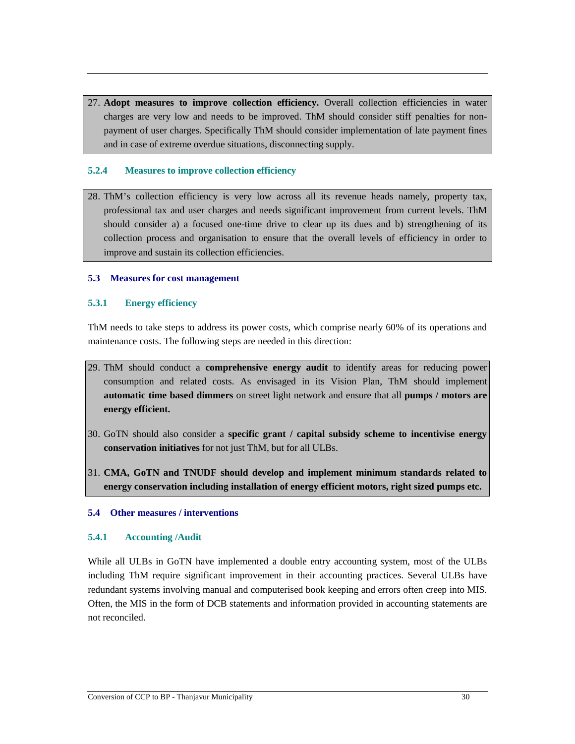27. **Adopt measures to improve collection efficiency.** Overall collection efficiencies in water charges are very low and needs to be improved. ThM should consider stiff penalties for nonpayment of user charges. Specifically ThM should consider implementation of late payment fines and in case of extreme overdue situations, disconnecting supply.

## **5.2.4 Measures to improve collection efficiency**

28. ThM's collection efficiency is very low across all its revenue heads namely, property tax, professional tax and user charges and needs significant improvement from current levels. ThM should consider a) a focused one-time drive to clear up its dues and b) strengthening of its collection process and organisation to ensure that the overall levels of efficiency in order to improve and sustain its collection efficiencies.

## **5.3 Measures for cost management**

## **5.3.1 Energy efficiency**

ThM needs to take steps to address its power costs, which comprise nearly 60% of its operations and maintenance costs. The following steps are needed in this direction:

- 29. ThM should conduct a **comprehensive energy audit** to identify areas for reducing power consumption and related costs. As envisaged in its Vision Plan, ThM should implement **automatic time based dimmers** on street light network and ensure that all **pumps / motors are energy efficient.**
- 30. GoTN should also consider a **specific grant / capital subsidy scheme to incentivise energy conservation initiatives** for not just ThM, but for all ULBs.
- 31. **CMA, GoTN and TNUDF should develop and implement minimum standards related to energy conservation including installation of energy efficient motors, right sized pumps etc.**

## **5.4 Other measures / interventions**

## **5.4.1 Accounting /Audit**

While all ULBs in GoTN have implemented a double entry accounting system, most of the ULBs including ThM require significant improvement in their accounting practices. Several ULBs have redundant systems involving manual and computerised book keeping and errors often creep into MIS. Often, the MIS in the form of DCB statements and information provided in accounting statements are not reconciled.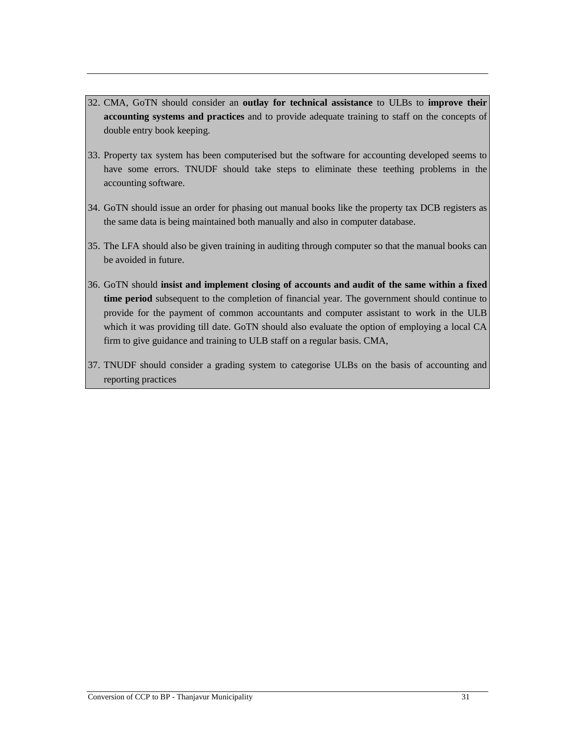- 32. CMA, GoTN should consider an **outlay for technical assistance** to ULBs to **improve their accounting systems and practices** and to provide adequate training to staff on the concepts of double entry book keeping.
- 33. Property tax system has been computerised but the software for accounting developed seems to have some errors. TNUDF should take steps to eliminate these teething problems in the accounting software.
- 34. GoTN should issue an order for phasing out manual books like the property tax DCB registers as the same data is being maintained both manually and also in computer database.
- 35. The LFA should also be given training in auditing through computer so that the manual books can be avoided in future.
- 36. GoTN should **insist and implement closing of accounts and audit of the same within a fixed time period** subsequent to the completion of financial year. The government should continue to provide for the payment of common accountants and computer assistant to work in the ULB which it was providing till date. GoTN should also evaluate the option of employing a local CA firm to give guidance and training to ULB staff on a regular basis. CMA,
- 37. TNUDF should consider a grading system to categorise ULBs on the basis of accounting and reporting practices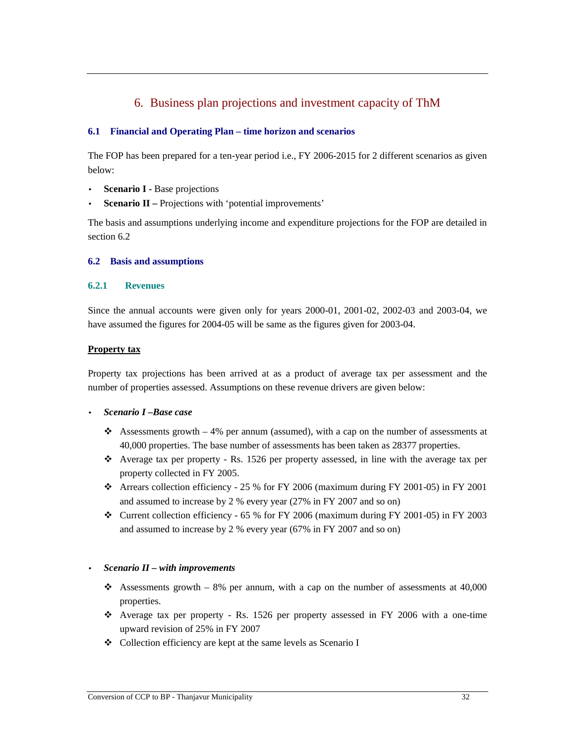# 6. Business plan projections and investment capacity of ThM

## **6.1 Financial and Operating Plan – time horizon and scenarios**

The FOP has been prepared for a ten-year period i.e., FY 2006-2015 for 2 different scenarios as given below:

- **Scenario I -** Base projections
- **Scenario II** Projections with 'potential improvements'

The basis and assumptions underlying income and expenditure projections for the FOP are detailed in section 6.2

## **6.2 Basis and assumptions**

### **6.2.1 Revenues**

Since the annual accounts were given only for years 2000-01, 2001-02, 2002-03 and 2003-04, we have assumed the figures for 2004-05 will be same as the figures given for 2003-04.

### **Property tax**

Property tax projections has been arrived at as a product of average tax per assessment and the number of properties assessed. Assumptions on these revenue drivers are given below:

## • *Scenario I –Base case*

- Assessments growth  $-4\%$  per annum (assumed), with a cap on the number of assessments at 40,000 properties. The base number of assessments has been taken as 28377 properties.
- $\triangle$  Average tax per property Rs. 1526 per property assessed, in line with the average tax per property collected in FY 2005.
- $\div$  Arrears collection efficiency 25 % for FY 2006 (maximum during FY 2001-05) in FY 2001 and assumed to increase by 2 % every year (27% in FY 2007 and so on)
- $\div$  Current collection efficiency 65 % for FY 2006 (maximum during FY 2001-05) in FY 2003 and assumed to increase by 2 % every year (67% in FY 2007 and so on)

## • *Scenario II – with improvements*

- Assessments growth 8% per annum, with a cap on the number of assessments at  $40,000$ properties.
- Average tax per property Rs. 1526 per property assessed in FY 2006 with a one-time upward revision of 25% in FY 2007
- Collection efficiency are kept at the same levels as Scenario I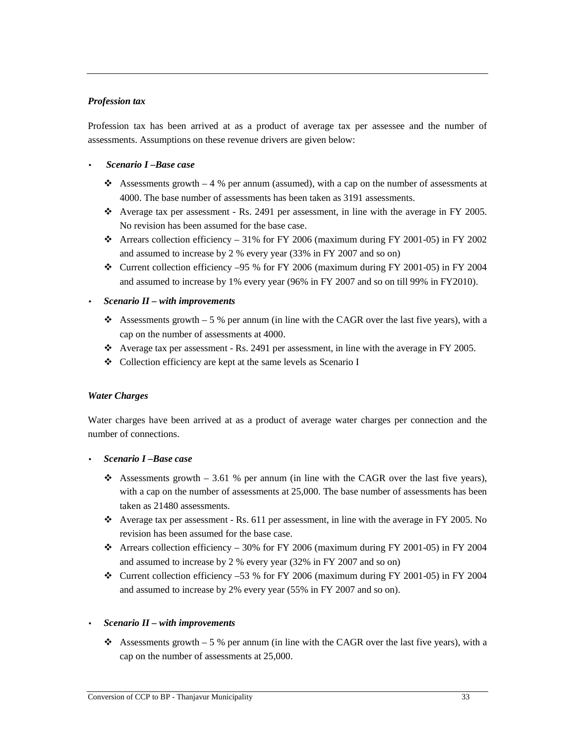## *Profession tax*

Profession tax has been arrived at as a product of average tax per assessee and the number of assessments. Assumptions on these revenue drivers are given below:

#### • *Scenario I –Base case*

- Assessments growth  $-4$  % per annum (assumed), with a cap on the number of assessments at 4000. The base number of assessments has been taken as 3191 assessments.
- $\bullet$  Average tax per assessment Rs. 2491 per assessment, in line with the average in FY 2005. No revision has been assumed for the base case.
- $\div$  Arrears collection efficiency 31% for FY 2006 (maximum during FY 2001-05) in FY 2002 and assumed to increase by 2 % every year (33% in FY 2007 and so on)
- $\div$  Current collection efficiency –95 % for FY 2006 (maximum during FY 2001-05) in FY 2004 and assumed to increase by 1% every year (96% in FY 2007 and so on till 99% in FY2010).

### • *Scenario II – with improvements*

- Assessments growth 5 % per annum (in line with the CAGR over the last five years), with a cap on the number of assessments at 4000.
- $\bullet$  Average tax per assessment Rs. 2491 per assessment, in line with the average in FY 2005.
- Collection efficiency are kept at the same levels as Scenario I

#### *Water Charges*

Water charges have been arrived at as a product of average water charges per connection and the number of connections.

#### • *Scenario I –Base case*

- Assessments growth 3.61 % per annum (in line with the CAGR over the last five years), with a cap on the number of assessments at 25,000. The base number of assessments has been taken as 21480 assessments.
- $\div$  Average tax per assessment Rs. 611 per assessment, in line with the average in FY 2005. No revision has been assumed for the base case.
- $\div$  Arrears collection efficiency 30% for FY 2006 (maximum during FY 2001-05) in FY 2004 and assumed to increase by 2 % every year (32% in FY 2007 and so on)
- $\div$  Current collection efficiency –53 % for FY 2006 (maximum during FY 2001-05) in FY 2004 and assumed to increase by 2% every year (55% in FY 2007 and so on).

#### • *Scenario II – with improvements*

Assessments growth  $-5%$  per annum (in line with the CAGR over the last five years), with a cap on the number of assessments at 25,000.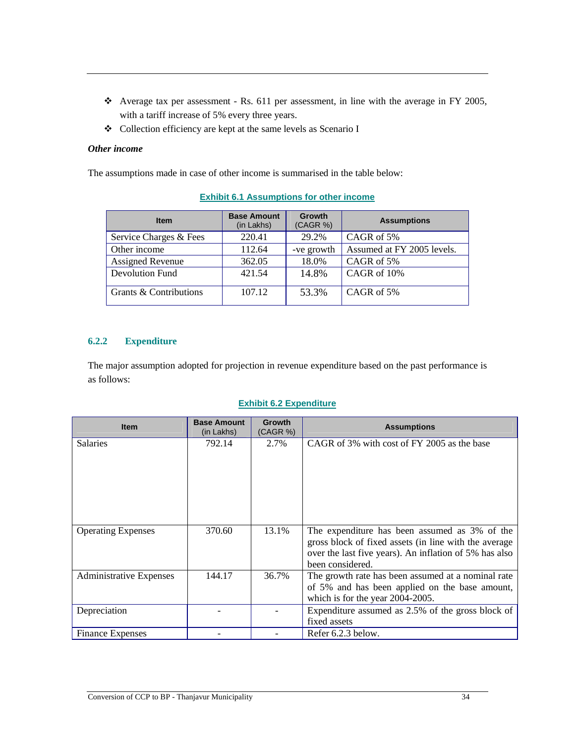- $\div$  Average tax per assessment Rs. 611 per assessment, in line with the average in FY 2005, with a tariff increase of 5% every three years.
- Collection efficiency are kept at the same levels as Scenario I

### *Other income*

The assumptions made in case of other income is summarised in the table below:

| <b>Item</b>             | <b>Base Amount</b><br>(in Lakhs) | <b>Growth</b><br>(CAGR %) | <b>Assumptions</b>         |
|-------------------------|----------------------------------|---------------------------|----------------------------|
| Service Charges & Fees  | 220.41                           | 29.2%                     | CAGR of 5%                 |
| Other income            | 112.64                           | -ve growth                | Assumed at FY 2005 levels. |
| <b>Assigned Revenue</b> | 362.05                           | 18.0%                     | CAGR of 5%                 |
| Devolution Fund         | 421.54                           | 14.8%                     | CAGR of 10%                |
| Grants & Contributions  | 107.12                           | 53.3%                     | CAGR of 5%                 |

# **Exhibit 6.1 Assumptions for other income**

# **6.2.2 Expenditure**

The major assumption adopted for projection in revenue expenditure based on the past performance is as follows:

## **Exhibit 6.2 Expenditure**

| <b>Item</b>                    | <b>Base Amount</b><br>(in Lakhs) | <b>Growth</b><br>(CAGR %) | <b>Assumptions</b>                                                         |
|--------------------------------|----------------------------------|---------------------------|----------------------------------------------------------------------------|
| <b>Salaries</b>                | 792.14                           | 2.7%                      | CAGR of 3% with cost of FY 2005 as the base                                |
|                                |                                  |                           |                                                                            |
|                                |                                  |                           |                                                                            |
|                                |                                  |                           |                                                                            |
|                                |                                  |                           |                                                                            |
|                                |                                  |                           |                                                                            |
| <b>Operating Expenses</b>      | 370.60                           | 13.1%                     | The expenditure has been assumed as 3% of the                              |
|                                |                                  |                           | gross block of fixed assets (in line with the average                      |
|                                |                                  |                           | over the last five years). An inflation of 5% has also<br>been considered. |
| <b>Administrative Expenses</b> | 144.17                           | 36.7%                     | The growth rate has been assumed at a nominal rate                         |
|                                |                                  |                           | of 5% and has been applied on the base amount,                             |
|                                |                                  |                           | which is for the year 2004-2005.                                           |
| Depreciation                   |                                  |                           | Expenditure assumed as 2.5% of the gross block of                          |
|                                |                                  |                           | fixed assets                                                               |
| <b>Finance Expenses</b>        |                                  |                           | Refer 6.2.3 below.                                                         |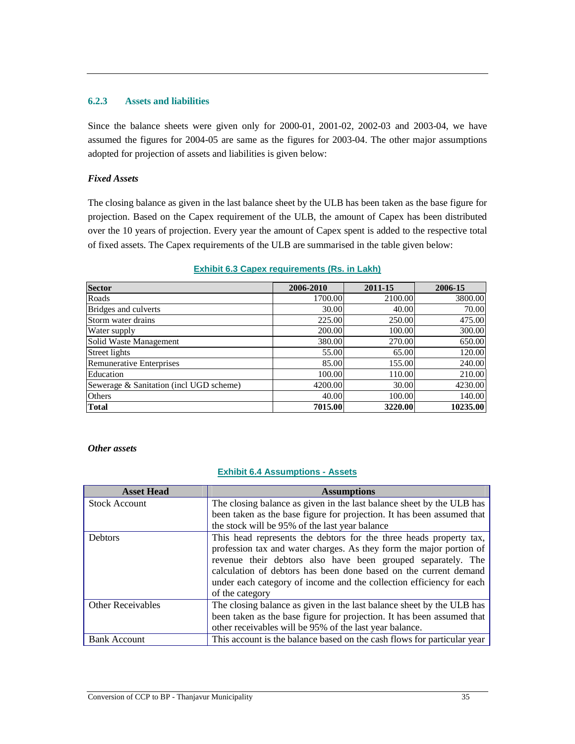### **6.2.3 Assets and liabilities**

Since the balance sheets were given only for 2000-01, 2001-02, 2002-03 and 2003-04, we have assumed the figures for 2004-05 are same as the figures for 2003-04. The other major assumptions adopted for projection of assets and liabilities is given below:

## *Fixed Assets*

The closing balance as given in the last balance sheet by the ULB has been taken as the base figure for projection. Based on the Capex requirement of the ULB, the amount of Capex has been distributed over the 10 years of projection. Every year the amount of Capex spent is added to the respective total of fixed assets. The Capex requirements of the ULB are summarised in the table given below:

| Sector                                  | 2006-2010 | 2011-15 | 2006-15  |
|-----------------------------------------|-----------|---------|----------|
| Roads                                   | 1700.00   | 2100.00 | 3800.00  |
| Bridges and culverts                    | 30.00     | 40.00   | 70.00    |
| Storm water drains                      | 225.00    | 250.00  | 475.00   |
| Water supply                            | 200.00    | 100.00  | 300.00   |
| Solid Waste Management                  | 380.00    | 270.00  | 650.00   |
| Street lights                           | 55.00     | 65.00   | 120.00   |
| <b>Remunerative Enterprises</b>         | 85.00     | 155.00  | 240.00   |
| Education                               | 100.00    | 110.00  | 210.00   |
| Sewerage & Sanitation (incl UGD scheme) | 4200.00   | 30.00   | 4230.00  |
| <b>Others</b>                           | 40.00     | 100.00  | 140.00   |
| Total                                   | 7015.00   | 3220.00 | 10235.00 |

### **Exhibit 6.3 Capex requirements (Rs. in Lakh)**

#### *Other assets*

#### **Exhibit 6.4 Assumptions - Assets**

| <b>Asset Head</b>        | <b>Assumptions</b>                                                      |
|--------------------------|-------------------------------------------------------------------------|
| <b>Stock Account</b>     | The closing balance as given in the last balance sheet by the ULB has   |
|                          | been taken as the base figure for projection. It has been assumed that  |
|                          | the stock will be 95% of the last year balance                          |
| <b>Debtors</b>           | This head represents the debtors for the three heads property tax,      |
|                          | profession tax and water charges. As they form the major portion of     |
|                          | revenue their debtors also have been grouped separately. The            |
|                          | calculation of debtors has been done based on the current demand        |
|                          | under each category of income and the collection efficiency for each    |
|                          | of the category                                                         |
| <b>Other Receivables</b> | The closing balance as given in the last balance sheet by the ULB has   |
|                          | been taken as the base figure for projection. It has been assumed that  |
|                          | other receivables will be 95% of the last year balance.                 |
| <b>Bank Account</b>      | This account is the balance based on the cash flows for particular year |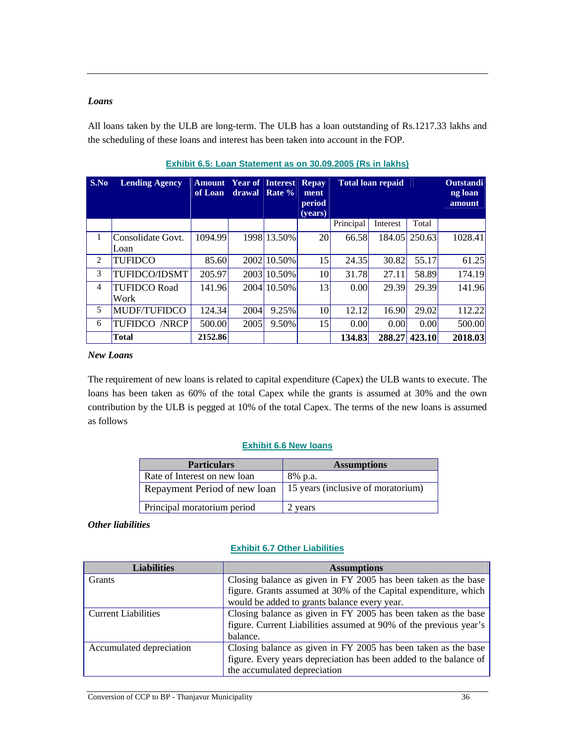## *Loans*

All loans taken by the ULB are long-term. The ULB has a loan outstanding of Rs.1217.33 lakhs and the scheduling of these loans and interest has been taken into account in the FOP.

| S.No           | <b>Lending Agency</b> | <b>Amount</b><br>of Loan | drawal | <b>Year of Interest Repay</b><br>Rate % | ment<br>period<br>(years) | <b>Total loan repaid</b> |          |        | <b>Outstandi</b><br>ng loan<br>amount |
|----------------|-----------------------|--------------------------|--------|-----------------------------------------|---------------------------|--------------------------|----------|--------|---------------------------------------|
|                |                       |                          |        |                                         |                           | Principal                | Interest | Total  |                                       |
| 1              | Consolidate Govt.     | 1094.99                  |        | 1998 13.50%                             | 20                        | 66.58                    | 184.05   | 250.63 | 1028.41                               |
|                | Loan                  |                          |        |                                         |                           |                          |          |        |                                       |
| 2              | <b>TUFIDCO</b>        | 85.60                    |        | 2002 10.50%                             | 15                        | 24.35                    | 30.82    | 55.17  | 61.25                                 |
| 3              | <b>TUFIDCO/IDSMT</b>  | 205.97                   |        | 2003 10.50%                             | 10                        | 31.78                    | 27.11    | 58.89  | 174.19                                |
| $\overline{4}$ | <b>TUFIDCO Road</b>   | 141.96                   |        | 2004 10.50%                             | 13                        | 0.00                     | 29.39    | 29.39  | 141.96                                |
|                | Work                  |                          |        |                                         |                           |                          |          |        |                                       |
| 5              | MUDF/TUFIDCO          | 124.34                   | 2004   | 9.25%                                   | 10                        | 12.12                    | 16.90    | 29.02  | 112.22                                |
| 6              | <b>TUFIDCO /NRCP</b>  | 500.00                   | 2005   | 9.50%                                   | 15                        | 0.00                     | 0.00     | 0.00   | 500.00                                |
|                | <b>Total</b>          | 2152.86                  |        |                                         |                           | 134.83                   | 288.27   | 423.10 | 2018.03                               |

| Exhibit 6.5: Loan Statement as on 30.09.2005 (Rs in lakhs) |  |  |
|------------------------------------------------------------|--|--|
|                                                            |  |  |

#### *New Loans*

The requirement of new loans is related to capital expenditure (Capex) the ULB wants to execute. The loans has been taken as 60% of the total Capex while the grants is assumed at 30% and the own contribution by the ULB is pegged at 10% of the total Capex. The terms of the new loans is assumed as follows

## **Exhibit 6.6 New loans**

| <b>Particulars</b>           | <b>Assumptions</b>                 |
|------------------------------|------------------------------------|
| Rate of Interest on new loan | 8% p.a.                            |
| Repayment Period of new loan | 15 years (inclusive of moratorium) |
| Principal moratorium period  | 2 vears                            |

## *Other liabilities*

## **Exhibit 6.7 Other Liabilities**

| <b>Liabilities</b>         | <b>Assumptions</b>                                                |
|----------------------------|-------------------------------------------------------------------|
| <b>Grants</b>              | Closing balance as given in FY 2005 has been taken as the base    |
|                            | figure. Grants assumed at 30% of the Capital expenditure, which   |
|                            | would be added to grants balance every year.                      |
| <b>Current Liabilities</b> | Closing balance as given in FY 2005 has been taken as the base    |
|                            | figure. Current Liabilities assumed at 90% of the previous year's |
|                            | balance.                                                          |
| Accumulated depreciation   | Closing balance as given in FY 2005 has been taken as the base    |
|                            | figure. Every years depreciation has been added to the balance of |
|                            | the accumulated depreciation                                      |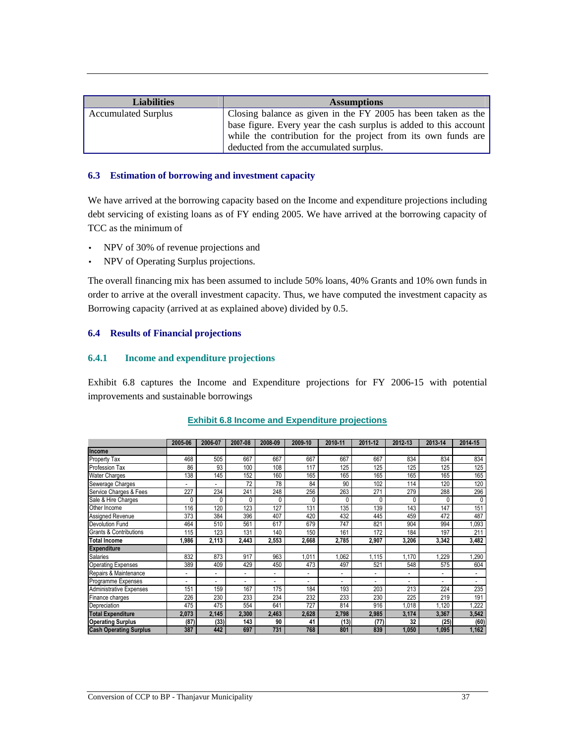| <b>Liabilities</b>         | <b>Assumptions</b>                                                |
|----------------------------|-------------------------------------------------------------------|
| <b>Accumulated Surplus</b> | Closing balance as given in the FY 2005 has been taken as the     |
|                            | base figure. Every year the cash surplus is added to this account |
|                            | while the contribution for the project from its own funds are     |
|                            | deducted from the accumulated surplus.                            |

#### **6.3 Estimation of borrowing and investment capacity**

We have arrived at the borrowing capacity based on the Income and expenditure projections including debt servicing of existing loans as of FY ending 2005. We have arrived at the borrowing capacity of TCC as the minimum of

- NPV of 30% of revenue projections and
- NPV of Operating Surplus projections.

The overall financing mix has been assumed to include 50% loans, 40% Grants and 10% own funds in order to arrive at the overall investment capacity. Thus, we have computed the investment capacity as Borrowing capacity (arrived at as explained above) divided by 0.5.

### **6.4 Results of Financial projections**

## **6.4.1 Income and expenditure projections**

Exhibit 6.8 captures the Income and Expenditure projections for FY 2006-15 with potential improvements and sustainable borrowings

|                                   | 2005-06 | 2006-07 | 2007-08 | 2008-09 | 2009-10                  | 2010-11 | 2011-12 | 2012-13 | 2013-14 | 2014-15                  |
|-----------------------------------|---------|---------|---------|---------|--------------------------|---------|---------|---------|---------|--------------------------|
| Income                            |         |         |         |         |                          |         |         |         |         |                          |
| Property Tax                      | 468     | 505     | 667     | 667     | 667                      | 667     | 667     | 834     | 834     | 834                      |
| Profession Tax                    | 86      | 93      | 100     | 108     | 117                      | 125     | 125     | 125     | 125     | 125                      |
| <b>Water Charges</b>              | 138     | 145     | 152     | 160     | 165                      | 165     | 165     | 165     | 165     | 165                      |
| Sewerage Charges                  |         |         | 72      | 78      | 84                       | 90      | 102     | 114     | 120     | 120                      |
| Service Charges & Fees            | 227     | 234     | 241     | 248     | 256                      | 263     | 271     | 279     | 288     | 296                      |
| Sale & Hire Charges               | 0       | 0       | 0       | 0       | 0                        | 0       |         | 0       |         |                          |
| Other Income                      | 116     | 120     | 123     | 127     | 131                      | 135     | 139     | 143     | 147     | 151                      |
| Assigned Revenue                  | 373     | 384     | 396     | 407     | 420                      | 432     | 445     | 459     | 472     | 487                      |
| <b>Devolution Fund</b>            | 464     | 510     | 561     | 617     | 679                      | 747     | 821     | 904     | 994     | ,093                     |
| <b>Grants &amp; Contributions</b> | 115     | 123     | 131     | 140     | 150                      | 161     | 172     | 184     | 197     | 211                      |
| <b>Total Income</b>               | 1,986   | 2,113   | 2.443   | 2,553   | 2,668                    | 2,785   | 2,907   | 3,206   | 3,342   | 3,482                    |
| <b>Expenditure</b>                |         |         |         |         |                          |         |         |         |         |                          |
| Salaries                          | 832     | 873     | 917     | 963     | ,011                     | 1,062   | 1,115   | 1,170   | ,229    | ,290                     |
| <b>Operating Expenses</b>         | 389     | 409     | 429     | 450     | 473                      | 497     | 521     | 548     | 575     | 604                      |
| Repairs & Maintenance             | ٠       | ٠       |         | ۰       | $\overline{\phantom{a}}$ |         |         | ٠       | ٠       | $\overline{\phantom{a}}$ |
| Programme Expenses                |         |         |         |         |                          |         |         | ٠       |         |                          |
| <b>Administrative Expenses</b>    | 151     | 159     | 167     | 175     | 184                      | 193     | 203     | 213     | 224     | 235                      |
| Finance charges                   | 226     | 230     | 233     | 234     | 232                      | 233     | 230     | 225     | 219     | 191                      |
| Depreciation                      | 475     | 475     | 554     | 641     | 727                      | 814     | 916     | 1,018   | 1,120   | ,222                     |
| <b>Total Expenditure</b>          | 2,073   | 2,145   | 2,300   | 2,463   | 2,628                    | 2,798   | 2,985   | 3,174   | 3,367   | 3,542                    |
| <b>Operating Surplus</b>          | (87)    | (33)    | 143     | 90      | 41                       | (13)    | (77)    | 32      | (25)    | (60)                     |
| <b>Cash Operating Surplus</b>     | 387     | 442     | 697     | 731     | 768                      | 801     | 839     | 1,050   | 1,095   | 1,162                    |

#### **Exhibit 6.8 Income and Expenditure projections**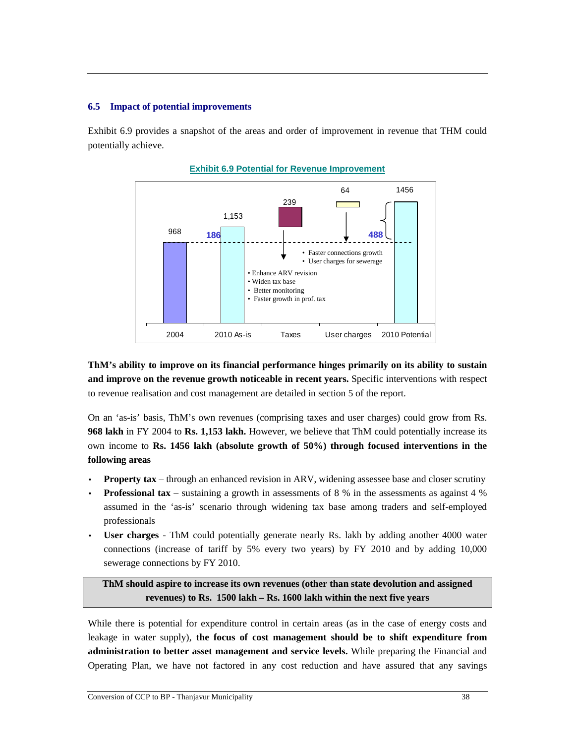## **6.5 Impact of potential improvements**

Exhibit 6.9 provides a snapshot of the areas and order of improvement in revenue that THM could potentially achieve.





**ThM's ability to improve on its financial performance hinges primarily on its ability to sustain and improve on the revenue growth noticeable in recent years.** Specific interventions with respect to revenue realisation and cost management are detailed in section 5 of the report.

On an 'as-is' basis, ThM's own revenues (comprising taxes and user charges) could grow from Rs. **968 lakh** in FY 2004 to **Rs. 1,153 lakh.** However, we believe that ThM could potentially increase its own income to **Rs. 1456 lakh (absolute growth of 50%) through focused interventions in the following areas** 

- **Property tax** through an enhanced revision in ARV, widening assessee base and closer scrutiny
- **Professional tax**  sustaining a growth in assessments of 8 % in the assessments as against 4 % assumed in the 'as-is' scenario through widening tax base among traders and self-employed professionals
- **User charges** ThM could potentially generate nearly Rs. lakh by adding another 4000 water connections (increase of tariff by 5% every two years) by FY 2010 and by adding 10,000 sewerage connections by FY 2010.

**ThM should aspire to increase its own revenues (other than state devolution and assigned revenues) to Rs. 1500 lakh – Rs. 1600 lakh within the next five years** 

While there is potential for expenditure control in certain areas (as in the case of energy costs and leakage in water supply), **the focus of cost management should be to shift expenditure from administration to better asset management and service levels.** While preparing the Financial and Operating Plan, we have not factored in any cost reduction and have assured that any savings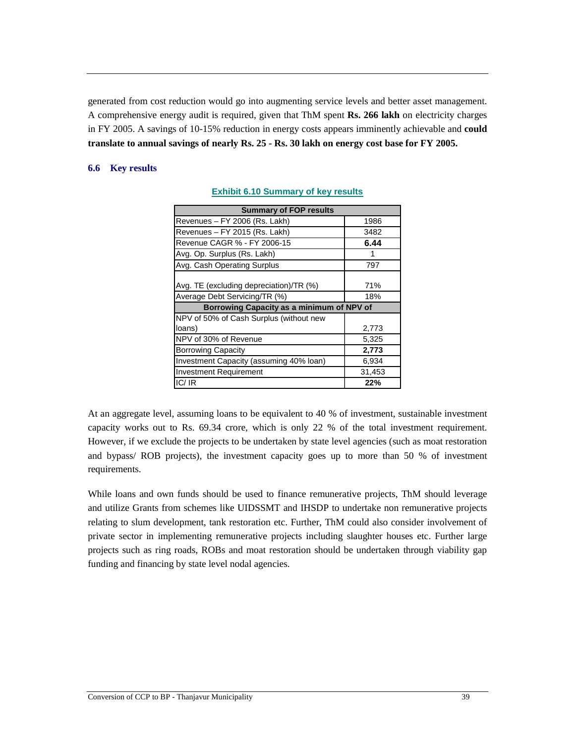generated from cost reduction would go into augmenting service levels and better asset management. A comprehensive energy audit is required, given that ThM spent **Rs. 266 lakh** on electricity charges in FY 2005. A savings of 10-15% reduction in energy costs appears imminently achievable and **could translate to annual savings of nearly Rs. 25 - Rs. 30 lakh on energy cost base for FY 2005.** 

## **6.6 Key results**

| <b>Summary of FOP results</b>             |        |  |  |  |  |  |
|-------------------------------------------|--------|--|--|--|--|--|
| Revenues - FY 2006 (Rs. Lakh)             | 1986   |  |  |  |  |  |
| Revenues - FY 2015 (Rs. Lakh)             | 3482   |  |  |  |  |  |
| Revenue CAGR % - FY 2006-15               | 6.44   |  |  |  |  |  |
| Avg. Op. Surplus (Rs. Lakh)               | 1      |  |  |  |  |  |
| Avg. Cash Operating Surplus               | 797    |  |  |  |  |  |
| Avg. TE (excluding depreciation)/TR (%)   | 71%    |  |  |  |  |  |
| Average Debt Servicing/TR (%)             | 18%    |  |  |  |  |  |
| Borrowing Capacity as a minimum of NPV of |        |  |  |  |  |  |
| NPV of 50% of Cash Surplus (without new   |        |  |  |  |  |  |
| loans)                                    | 2,773  |  |  |  |  |  |
| NPV of 30% of Revenue                     | 5,325  |  |  |  |  |  |
| <b>Borrowing Capacity</b>                 | 2,773  |  |  |  |  |  |
| Investment Capacity (assuming 40% loan)   | 6,934  |  |  |  |  |  |
| <b>Investment Requirement</b>             | 31,453 |  |  |  |  |  |
| IC/IR                                     | 22%    |  |  |  |  |  |

### **Exhibit 6.10 Summary of key results**

At an aggregate level, assuming loans to be equivalent to 40 % of investment, sustainable investment capacity works out to Rs. 69.34 crore, which is only 22 % of the total investment requirement. However, if we exclude the projects to be undertaken by state level agencies (such as moat restoration and bypass/ ROB projects), the investment capacity goes up to more than 50 % of investment requirements.

While loans and own funds should be used to finance remunerative projects, ThM should leverage and utilize Grants from schemes like UIDSSMT and IHSDP to undertake non remunerative projects relating to slum development, tank restoration etc. Further, ThM could also consider involvement of private sector in implementing remunerative projects including slaughter houses etc. Further large projects such as ring roads, ROBs and moat restoration should be undertaken through viability gap funding and financing by state level nodal agencies.